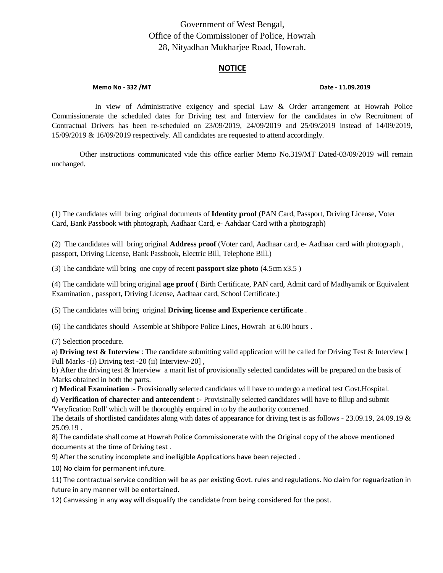## Government of West Bengal, Office of the Commissioner of Police, Howrah 28, Nityadhan Mukharjee Road, Howrah.

## **NOTICE**

## **Memo No - 332 /MT**  $\blacksquare$

In view of Administrative exigency and special Law & Order arrangement at Howrah Police Commissionerate the scheduled dates for Driving test and Interview for the candidates in c/w Recruitment of Contractual Drivers has been re-scheduled on 23/09/2019, 24/09/2019 and 25/09/2019 instead of 14/09/2019, 15/09/2019 & 16/09/2019 respectively. All candidates are requested to attend accordingly.

Other instructions communicated vide this office earlier Memo No.319/MT Dated-03/09/2019 will remain unchanged.

(1) The candidates will bring original documents of **Identity proof** (PAN Card, Passport, Driving License, Voter Card, Bank Passbook with photograph, Aadhaar Card, e- Aahdaar Card with a photograph)

(2) The candidates will bring original **Address proof** (Voter card, Aadhaar card, e- Aadhaar card with photograph , passport, Driving License, Bank Passbook, Electric Bill, Telephone Bill.)

(3) The candidate will bring one copy of recent **passport size photo** (4.5cm x3.5 )

(4) The candidate will bring original **age proof** ( Birth Certificate, PAN card, Admit card of Madhyamik or Equivalent Examination , passport, Driving License, Aadhaar card, School Certificate.)

(5) The candidates will bring original **Driving license and Experience certificate** .

(6) The candidates should Assemble at Shibpore Police Lines, Howrah at 6.00 hours .

(7) Selection procedure.

a) **Driving test & Interview** : The candidate submitting vaild application will be called for Driving Test & Interview [ Full Marks -(i) Driving test -20 (ii) Interview-20] ,

b) After the driving test & Interview a marit list of provisionally selected candidates will be prepared on the basis of Marks obtained in both the parts.

c) **Medical Examination** :- Provisionally selected candidates will have to undergo a medical test Govt.Hospital.

d) **Verification of charecter and antecendent :-** Provisinally selected candidates will have to fillup and submit 'Veryfication Roll' which will be thoroughly enquired in to by the authority concerned.

The details of shortlisted candidates along with dates of appearance for driving test is as follows - 23.09.19, 24.09.19 & 25.09.19 .

8) The candidate shall come at Howrah Police Commissionerate with the Original copy of the above mentioned documents at the time of Driving test .

9) After the scrutiny incomplete and inelligible Applications have been rejected .

10) No claim for permanent infuture.

11) The contractual service condition will be as per existing Govt. rules and regulations. No claim for reguarization in future in any manner will be entertained.

12) Canvassing in any way will disqualify the candidate from being considered for the post.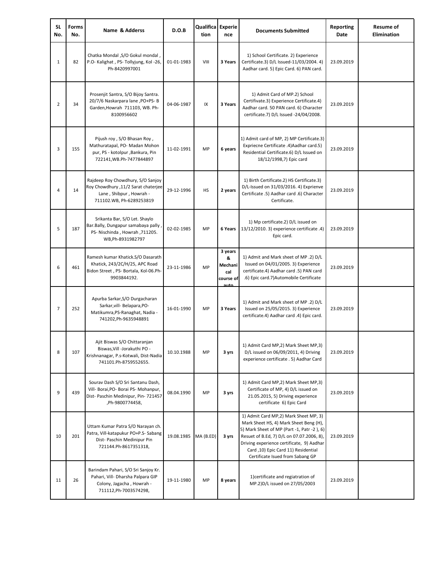| <b>SL</b><br>No. | Forms<br>No. | Name & Adderss                                                                                                                       | D.O.B      | <b>Qualifica Experie</b><br>tion | nce                                                 | <b>Documents Submitted</b>                                                                                                                                                                                                                                                                         | Reporting<br>Date | <b>Resume of</b><br><b>Elimination</b> |
|------------------|--------------|--------------------------------------------------------------------------------------------------------------------------------------|------------|----------------------------------|-----------------------------------------------------|----------------------------------------------------------------------------------------------------------------------------------------------------------------------------------------------------------------------------------------------------------------------------------------------------|-------------------|----------------------------------------|
| $\mathbf{1}$     | 82           | Chatka Mondal , S/O Gokul mondal,<br>P.O- Kalighat, PS- Tollyjung, Kol -26,<br>Ph-8420997001                                         | 01-01-1983 | VIII                             | 3 Years                                             | 1) School Certificate. 2) Experience<br>Certificate.3) D/L Issued-11/03/2004. 4)<br>Aadhar card. 5) Epic Card. 6) PAN card.                                                                                                                                                                        | 23.09.2019        |                                        |
| $\overline{2}$   | 34           | Prosenjit Santra, S/O Bijoy Santra.<br>20/7/6 Naskarpara lane , PO+PS- B<br>Garden, Howrah 711103, WB. Ph-<br>8100956602             | 04-06-1987 | IX                               | 3 Years                                             | 1) Admit Card of MP.2) School<br>Certifivate.3) Experience Certificate.4)<br>Aadhar card. 50 PAN card. 6) Character<br>certificate.7) D/L Issued -24/04/2008.                                                                                                                                      | 23.09.2019        |                                        |
| 3                | 155          | Pijush roy, S/O Bhasan Roy,<br>Mathuratapal, PO- Madan Mohon<br>pur, PS - kotolpur , Bankura, Pin<br>722141, WB.Ph-7477844897        | 11-02-1991 | MP                               | 6 years                                             | 1) Admit card of MP, 2) MP Certificate.3)<br>Expriecne Certificate .4) Aadhar card.5)<br>Residential Certificate.6) D/L Issued on<br>18/12/1998,7) Epic card                                                                                                                                       | 23.09.2019        |                                        |
| $\overline{4}$   | 14           | Rajdeep Roy Chowdhury, S/O Sanjoy<br>Roy Chowdhury ,11/2 Sarat chaterjee<br>Lane, Shibpur, Howrah -<br>711102.WB, Ph-6289253819      | 29-12-1996 | HS                               | 2 years                                             | 1) Birth Certificate.2) HS Certificate.3)<br>D/L-Issued on 31/03/2016. 4) Exprienve<br>Certificate .5) Aadhar card .6) Character<br>Certificate.                                                                                                                                                   | 23.09.2019        |                                        |
| 5                | 187          | Srikanta Bar, S/O Let. Shaylo<br>Bar.Bally, Dungapur samabaya pally<br>PS- Nischinda, Howrah, 711205.<br>WB, Ph-8931982797           | 02-02-1985 | MP                               | 6 Years                                             | 1) Mp certificate.2) D/L issued on<br>13/12/2010. 3) experience certificate .4)<br>Epic card.                                                                                                                                                                                                      | 23.09.2019        |                                        |
| 6                | 461          | Ramesh kumar Khatick.S/O Dasarath<br>Khatick, 243/2C/H/25, APC Road<br>Bidon Street, PS- Bortala, Kol-06.Ph-<br>9903844192.          | 23-11-1986 | MP                               | 3 years<br>&<br>Mechani<br>cal<br>course of<br>auto | 1) Admit and Mark sheet of MP .2) D/L<br>Issued on 04/01/2005. 3) Experience<br>certificate.4) Aadhar card .5) PAN card<br>.6) Epic card.7)Automobile Certificate                                                                                                                                  | 23.09.2019        |                                        |
| 7                | 252          | Apurba Sarkar, S/O Durgacharan<br>Sarkar, vill- Belapara, PO-<br>Matikumra, PS-Ranaghat, Nadia -<br>741202, Ph-9635948891            | 16-01-1990 | MP                               | 3 Years                                             | 1) Admit and Mark sheet of MP .2) D/L<br>Issued on 25/05/2015. 3) Experience<br>certificate.4) Aadhar card .4) Epic card.                                                                                                                                                                          | 23.09.2019        |                                        |
| 8                | 107          | Ajit Biswas S/O Chittaranjan<br>Biswas, Vill -Jorakuthi PO -<br>Krishnanagar, P.s-Kotwali, Dist-Nadia<br>741101.Ph-8759552655.       | 10.10.1988 | MP                               | 3 yrs                                               | 1) Admit Card MP,2) Mark Sheet MP,3)<br>D/L issued on 06/09/2011, 4) Driving<br>experience certificate . 5) Aadhar Card                                                                                                                                                                            | 23.09.2019        |                                        |
| 9                | 439          | Sourav Dash S/O Sri Santanu Dash,<br>Vill- Borai, PO- Borai PS- Mohanpur,<br>Dist- Paschin Medinipur, Pin- 721457<br>,Ph-9800774458, | 08.04.1990 | MP                               | 3 yrs                                               | 1) Admit Card MP,2) Mark Sheet MP,3)<br>Certificate of MP, 4) D/L issued on<br>21.05.2015, 5) Driving experience<br>certificate 6) Epic Card                                                                                                                                                       | 23.09.2019        |                                        |
| 10               | 201          | Uttam Kumar Patra S/O Narayan ch.<br>Patra, Vill-katapukur PO+P.S- Sabang<br>Dist- Paschin Medinipur Pin<br>721144.Ph-8617351318,    | 19.08.1985 | MA (B.ED)                        | 3 yrs                                               | 1) Admit Card MP,2) Mark Sheet MP, 3)<br>Mark Sheet HS, 4) Mark Sheet Beng (H),<br>5) Mark Sheet of MP (Part -1, Patr -2), 6)<br>Resuet of B.Ed, 7) D/L on 07.07.2006, 8).<br>Driving experience certificate, 9) Aadhar<br>Card ,10) Epic Card 11) Residential<br>Certificate Isued from Sabang GP | 23.09.2019        |                                        |
| 11               | 26           | Barindam Pahari, S/O Sri Sanjoy Kr.<br>Pahari, Vill- Dharsha Palpara GIP<br>Colony, Jagacha, Howrah -<br>711112, Ph-7003574298,      | 19-11-1980 | MP                               | 8 years                                             | 1) certificate and regiatration of<br>MP.2)D/L issued on 27/05/2003                                                                                                                                                                                                                                | 23.09.2019        |                                        |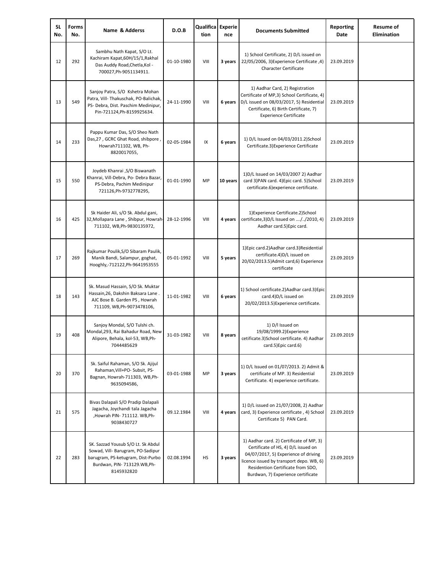| SL<br>No. | Forms<br>No. | Name & Adderss                                                                                                                                            | D.O.B      | Qualifica Experie<br>tion | nce      | <b>Documents Submitted</b>                                                                                                                                                                                                                     | Reporting<br>Date | <b>Resume of</b><br>Elimination |
|-----------|--------------|-----------------------------------------------------------------------------------------------------------------------------------------------------------|------------|---------------------------|----------|------------------------------------------------------------------------------------------------------------------------------------------------------------------------------------------------------------------------------------------------|-------------------|---------------------------------|
| 12        | 292          | Sambhu Nath Kapat, S/O Lt.<br>Kachiram Kapat, 60H/15/1, Rakhal<br>Das Auddy Road, Chetla, Kol -<br>700027, Ph-9051134911.                                 | 01-10-1980 | VIII                      | 3 years  | 1) School Certificate, 2) D/L issued on<br>22/05/2006, 3) Experience Certificate, 4)<br><b>Character Certificate</b>                                                                                                                           | 23.09.2019        |                                 |
| 13        | 549          | Sanjoy Patra, S/O Kshetra Mohan<br>Patra, Vill- Thakuschak, PO-Balichak,<br>PS- Debra, Dist. Paschim Medinipur,<br>Pin-721124, Ph-8159925634.             | 24-11-1990 | VIII                      | 6 years  | 1) Aadhar Card, 2) Registration<br>Certificate of MP,3) School Certificate, 4)<br>D/L issued on 08/03/2017, 5) Residential<br>Certificate, 6) Birth Certificate, 7)<br><b>Experience Certificate</b>                                           | 23.09.2019        |                                 |
| 14        | 233          | Pappu Kumar Das, S/O Sheo Nath<br>Das, 27, GCRC Ghat Road, shibpore,<br>Howrah711102, WB, Ph-<br>8820017055,                                              | 02-05-1984 | IX                        | 6 years  | 1) D/L Issued on 04/03/2011.2)School<br>Certificate.3) Experience Certificate                                                                                                                                                                  | 23.09.2019        |                                 |
| 15        | 550          | Joydeb Khanrai ,S/O Biswanath<br>Khanrai, Vill-Debra, Po- Debra Bazar,<br>PS-Debra, Pachim Medinipur<br>721126, Ph-9732778295,                            | 01-01-1990 | MP                        | 10 years | 1) D/L Issued on 14/03/2007 2) Aadhar<br>card 3) PAN card. 4) Epic card. 5) School<br>certificate.6) experience certificate.                                                                                                                   | 23.09.2019        |                                 |
| 16        | 425          | Sk Haider Ali, s/O Sk. Abdul gani,<br>32, Mollapara Lane, Shibpur, Howrah<br>711102, WB, Ph-9830135972,                                                   | 28-12-1996 | VIII                      | 4 years  | 1) Experience Certificate.2) School<br>certificate, 3) D/L Issued on //2010, 4)<br>Aadhar card.5) Epic card.                                                                                                                                   | 23.09.2019        |                                 |
| 17        | 269          | Rajkumar Poulik, S/O Sibaram Paulik,<br>Manik Bandi, Salampur, goghat,<br>Hooghly,-712122,Ph-9641953555                                                   | 05-01-1992 | VIII                      | 5 years  | 1) Epic card.2) Aadhar card.3) Residential<br>certificate.4)D/L issued on<br>20/02/2013.5) Admit card, 6) Experience<br>certificate                                                                                                            | 23.09.2019        |                                 |
| 18        | 143          | Sk. Masud Hassain, S/O Sk. Muktar<br>Hassain, 26, Dakshin Baksara Lane.<br>AJC Bose B. Garden PS, Howrah<br>711109, WB, Ph-9073478106,                    | 11-01-1982 | VIII                      | 6 years  | 1) School certificate.2) Aadhar card.3) Epic<br>card.4)D/L issued on<br>20/02/2013.5) Experience certificate.                                                                                                                                  | 23.09.2019        |                                 |
| 19        | 408          | Sanjoy Mondal, S/O Tulshi ch.<br>Mondal, 293, Rai Bahadur Road, New<br>Alipore, Behala, kol-53, WB, Ph-<br>7044485629                                     | 31-03-1982 | VIII                      | 8 years  | 1) D/l Issued on<br>19/08/1999.2) Experience<br>cetificate.3)School certificate. 4) Aadhar<br>card.5) Epic card.6)                                                                                                                             | 23.09.2019        |                                 |
| 20        | 370          | Sk. Saiful Rahaman, S/O Sk. Ajijul<br>Rahaman, Vill+PO- Subsit, PS-<br>Bagnan, Howrah-711303, WB, Ph-<br>9635094586,                                      | 03-01-1988 | MP                        | 3 years  | 1) D/L Issued on 01/07/2013. 2) Admit &<br>certificate of MP. 3) Residential<br>Certificate. 4) experience certificate.                                                                                                                        | 23.09.2019        |                                 |
| 21        | 575          | Bivas Dalapali S/O Pradip Dalapali<br>Jagacha, Joychandi tala Jagacha<br>,Howrah PIN- 711112. WB,Ph-<br>9038430727                                        | 09.12.1984 | VIII                      | 4 years  | 1) D/L issued on 21/07/2008, 2) Aadhar<br>card, 3) Experience certificate, 4) School<br>Certificate 5) PAN Card.                                                                                                                               | 23.09.2019        |                                 |
| 22        | 283          | SK. Sazzad Yousub S/O Lt. Sk Abdul<br>Sowad, Vill- Barugram, PO-Sadipur<br>barugram, PS-ketugram, Dist-Purbo<br>Burdwan, PIN- 713129.WB,Ph-<br>8145932820 | 02.08.1994 | HS                        | 3 years  | 1) Aadhar card. 2) Certificate of MP, 3)<br>Certificate of HS, 4) D/L issued on<br>04/07/2017, 5) Experience of driving<br>licence issued by transport depo. WB, 6)<br>Residention Certificate from SDO,<br>Burdwan, 7) Experience certificate | 23.09.2019        |                                 |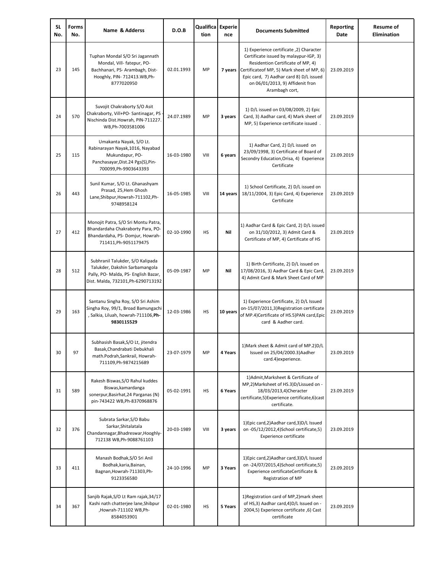| <b>SL</b><br>No. | <b>Forms</b><br>No. | Name & Adderss                                                                                                                                   | D.O.B      | Qualifica Experie<br>tion | nce      | <b>Documents Submitted</b>                                                                                                                                                                                                                                           | Reporting<br>Date | <b>Resume of</b><br><b>Elimination</b> |
|------------------|---------------------|--------------------------------------------------------------------------------------------------------------------------------------------------|------------|---------------------------|----------|----------------------------------------------------------------------------------------------------------------------------------------------------------------------------------------------------------------------------------------------------------------------|-------------------|----------------------------------------|
| 23               | 145                 | Tuphan Mondal S/O Sri Jagannath<br>Mondal, Vill- fatepur, PO-<br>Bachhanari, PS- Arambagh, Dist-<br>Hooghly, PIN- 712413.WB, Ph-<br>8777020950   | 02.01.1993 | MP                        | 7 years  | 1) Experience certificate ,2) Character<br>Certificate issued by malaypur-IGP, 3)<br>Residention Certificate of MP, 4)<br>Certificateof MP, 5) Mark sheet of MP, 6)<br>Epic card, 7) Aadhar card 8) D/L issued<br>on 06/01/2013, 9) Affidenit fron<br>Arambagh cort, | 23.09.2019        |                                        |
| 24               | 570                 | Suvojit Chakraborty S/O Asit<br>Chakraborty, Vill+PO- Santinagar, PS<br>Nischinda Dist.Howrah, PIN-711227.<br>WB, Ph-7003581006                  | 24.07.1989 | MP                        | 3 years  | 1) D/L issued on 03/08/2009, 2) Epic<br>Card, 3) Aadhar card, 4) Mark sheet of<br>MP, 5) Experience certificate issued.                                                                                                                                              | 23.09.2019        |                                        |
| 25               | 115                 | Umakanta Nayak, S/O Lt.<br>Rabinarayan Nayak, 1016, Nayabad<br>Mukundapur, PO-<br>Panchasayar, Dist.24 Pgs(S), Pin-<br>700099, Ph-9903643393     | 16-03-1980 | VIII                      | 6 years  | 1) Aadhar Card, 2) D/L issued on<br>23/09/1998, 3) Certificate of Board of<br>Secondry Education, Orisa, 4) Experience<br>Certificate                                                                                                                                | 23.09.2019        |                                        |
| 26               | 443                 | Sunil Kumar, S/O Lt. Ghanashyam<br>Prasad, 25, Hem Ghosh<br>Lane, Shibpur, Howrah-711102, Ph-<br>9748958124                                      | 16-05-1985 | VIII                      | 14 years | 1) School Certificate, 2) D/L issued on<br>18/11/2004, 3) Epic Card, 4) Experience<br>Certificate                                                                                                                                                                    | 23.09.2019        |                                        |
| 27               | 412                 | Monojit Patra, S/O Sri Montu Patra,<br>Bhandardaha Chakraborty Para, PO-<br>Bhandardaha, PS- Domjur, Howrah-<br>711411, Ph-9051179475            | 02-10-1990 | <b>HS</b>                 | Nil      | 1) Aadhar Card & Epic Card, 2) D/L issued<br>on 31/10/2012, 3) Admit Card &<br>Certificate of MP, 4) Certificate of HS                                                                                                                                               | 23.09.2019        |                                        |
| 28               | 512                 | Subhranil Talukder, S/O Kalipada<br>Talukder, Dakshin Sarbamangola<br>Pally, PO- Malda, PS- English Bazar,<br>Dist. Malda, 732101, Ph-6290713192 | 05-09-1987 | MP                        | Nil      | 1) Birth Certificate, 2) D/L issued on<br>17/08/2016, 3) Aadhar Card & Epic Card<br>4) Admit Card & Mark Sheet Card of MP                                                                                                                                            | 23.09.2019        |                                        |
| 29               | 163                 | Santanu Singha Roy, S/O Sri Ashim<br>Singha Roy, 99/1, Broad Bamungachi<br>, Salkia, Liluah, howrah-711106, Ph-<br>9830115529                    | 12-03-1986 | HS                        | 10 years | 1) Experience Certificate, 2) D/L Issued<br>on-15/07/2011,3)Registration certificate<br>of MP.4)Certificate of HS.5)PAN card,Epic<br>card & Aadher card.                                                                                                             | 23.09.2019        |                                        |
| 30               | 97                  | Subhasish Basak, S/O Lt, jitendra<br>Basak, Chandrabati Debukhali<br>math.Podrah,Sankrail, Howrah-<br>711109, Ph-9874215689                      | 23-07-1979 | MP                        | 4 Years  | 1) Mark sheet & Admit card of MP.2) D/L<br>Issued on 25/04/2000.3)Aadher<br>card.4) experience.                                                                                                                                                                      | 23.09.2019        |                                        |
| 31               | 589                 | Rakesh Biswas, S/O Rahul kuddes<br>Biswas, kamardanga<br>sonerpur, Basirhat, 24 Parganas (N)<br>pin-743422 WB,Ph-8370968876                      | 05-02-1991 | <b>HS</b>                 | 6 Years  | 1) Admit, Marksheet & Certificate of<br>MP,2)Marksheet of HS.3)D/Lissued on -<br>18/03/2013,4)Cheracter<br>certificate,5)Experience certificate,6)cast<br>certificate.                                                                                               | 23.09.2019        |                                        |
| 32               | 376                 | Subrata Sarkar, S/O Babu<br>Sarkar, Shitalatala<br>Chandannagar, Bhadreswar, Hooghly-<br>712138 WB, Ph-9088761103                                | 20-03-1989 | VIII                      | 3 years  | 1) Epic card, 2) Aadhar card, 3) D/L Issued<br>on -05/12/2012,4)School certificate,5)<br>Experience certificate                                                                                                                                                      | 23.09.2019        |                                        |
| 33               | 411                 | Manash Bodhak, S/O Sri Anil<br>Bodhak, karia, Bainan,<br>Bagnan, Howrah-711303, Ph-<br>9123356580                                                | 24-10-1996 | MP                        | 3 Years  | 1) Epic card, 2) Aadhar card, 3) D/L Issued<br>on -24/07/2015,4)School certificate,5)<br>Experience certificateCertificate &<br>Registration of MP                                                                                                                   | 23.09.2019        |                                        |
| 34               | 367                 | Sanjib Rajak, S/O Lt Ram rajak, 34/17<br>Kashi nath chatterjee lane, Shibpur<br>,Howrah-711102 WB,Ph-<br>8584053901                              | 02-01-1980 | HS                        | 5 Years  | 1) Registration card of MP, 2) mark sheet<br>of HS,3) Aadhar card,4)D/L Issued on -<br>2004,5) Experience certificate ,6) Cast<br>certificate                                                                                                                        | 23.09.2019        |                                        |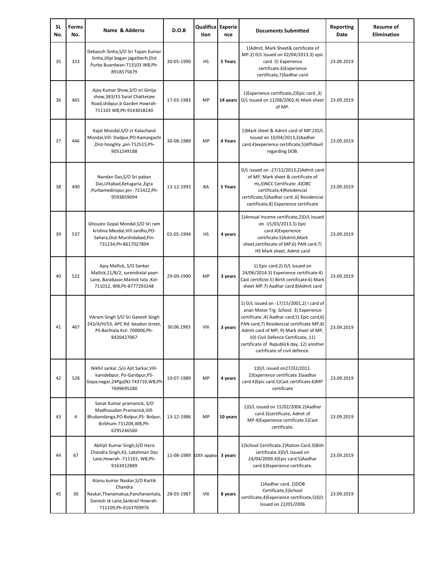| <b>SL</b><br>No. | <b>Forms</b><br>No. | Name & Adderss                                                                                                                               | D.O.B      | Qualifica Experie<br>tion | nce      | <b>Documents Submitted</b>                                                                                                                                                                                                                                                                                                                       | <b>Reporting</b><br>Date | <b>Resume of</b><br><b>Elimination</b> |
|------------------|---------------------|----------------------------------------------------------------------------------------------------------------------------------------------|------------|---------------------------|----------|--------------------------------------------------------------------------------------------------------------------------------------------------------------------------------------------------------------------------------------------------------------------------------------------------------------------------------------------------|--------------------------|----------------------------------------|
| 35               | 323                 | Debasish Sinha, S/O Sri Tapan Kumar<br>Sinha, Jilipi bagan jagatberh, Dist<br>Purba Buardwan-713103 WB,Ph-<br>8918575679                     | 30-05-1990 | HS                        | 5 Years  | 1) Admit, Mark Sheet& certificate of<br>MP.2) D/L Issued on 02/04/2013.3) epic<br>card .5) Experience<br>certificate.6) Experience<br>certificate, 7) Aadhar card                                                                                                                                                                                | 23.09.2019               |                                        |
| 36               | 465                 | Ajay Kumar Show, S/O sri Ginija<br>show, 383/15 Sarat Chatterjee<br>Road, shibpur, b Garden Howrah-<br>711103 WB, Ph-9143018240              | 17-03-1983 | MP                        | 14 years | 1) Experience certificate, 2) Epic card, 3)<br>D/L Issued on 12/08/2002,4) Mark sheet<br>of MP.                                                                                                                                                                                                                                                  | 23.09.2019               |                                        |
| 37               | 446                 | Kajal Mondal, S/O Lt Kalachand<br>Mondal, Vill-Dadpur, PO-Kamargachi<br>,Dist-hooghly ,pin-712515,Ph-<br>9051249188                          | 30-08-1989 | MP                        | 4 Years  | 1) Mark sheet & Admit card of MP.2) D/L<br>Issued on 10/04/2013,3)Aadher<br>card.4) experience certificate, 5) Affidavit<br>regarding DOB.                                                                                                                                                                                                       | 23.09.2019               |                                        |
| 38               | 490                 | Nandan Das, S/O Sri paban<br>Das, Ultabad, Ketugaria, Egra<br>,Purbamedinipur,pin -721422,Ph-<br>9593859094                                  | 13-12-1993 | BA                        | 5 Years  | D/L issued on -27/12/2013,2)Admit card<br>of MP, Mark sheet & certificate of<br>Hs,3)NCC Certificate,4)OBC<br>certificate,4)Residencial<br>certificate,5)Aadhar card,6) Residencial<br>certificate,8) Experience certificate                                                                                                                     | 23.09.2019               |                                        |
| 39               | 537                 | Ghousto Gopal Mondal, S/O Sri ram<br>krishna Mkodal, Vill-Jardho, PO-<br>Sahara, Dist-Murshidabad, Pin-<br>731234, Ph-8617027894             | 02-05-1994 | HS                        | 4 years  | 1) Annual Income certificate, 2) D/L Issued<br>on -15/03/2013.3) Epic<br>card.4)Experience<br>certificate.5)Admit,Mark<br>sheet, certifecate of MP,6) PAN card.7)<br>HS Mark sheet, Admit card                                                                                                                                                   | 23.09.2019               |                                        |
| 40               | 522                 | Ajoy Mallick, S/O Sankar<br>Mallick,11/B/2, surendralal payn<br>Lane, Barabazar, Manick tala, Kol-<br>711012, WB, Ph-8777293248              | 29-09-1990 | MP                        | 3 years  | 1) Epic card.2) D/L Issued on<br>24/06/2014.3) Experience certificate.4)<br>Cast certificte.5) Birth certificate.6) Mark<br>sheet MP.7) Aadhar card.8) Admit card                                                                                                                                                                                | 23.09.2019               |                                        |
| 41               | 467                 | Vikram Singh S/O Sri Ganesh Singh<br>243/A/H/53, APC Rd. beadon street,<br>PS-Barhtala Kol- 700006,Ph-<br>8420427067                         | 30.06.1983 | VIII                      | 3 years  | 1) D/L issued on -17/15/2001,2) I card of<br>anan Motor Trg. School. 3) Experience<br>certificate, 4) Aadhar card, 5) Epic card, 6)<br>PAN card, 7) Residencial certificate MP, 8)<br>Admit card of MP, 9) Mark sheet of MP,<br>10) Civil Defence Certificate, 11)<br>certificate of Republick day, 12) another<br>cartificate of civil defence. | 23.09.2019               |                                        |
| 42               | 528                 | Nikhil sarkar , S/o Ajit Sarkar, Vill-<br>kamdebpur, Po-Garibpur, PS-<br>Gopa;nagar,24Pgs(N)-743710,WB,Ph<br>7699695280                      | 10-07-1989 | MP                        | 4 years  | 1) D/L issued on 27/02/2011.<br>2) Experience certificate.3) aadhar<br>card.4)Epic card.5)Cast certificate.6)MP<br>certificate                                                                                                                                                                                                                   | 23.09.2019               |                                        |
| 43               | $\overline{4}$      | Sanat Kumar pramanick, S/O<br>Madhusudan Pramanick, Vill-<br>Bhubandanga, PO-Bolpur, PS- Bolpur,<br>Birbhum-731204, WB, Ph-<br>6295246560    | 13-12-1986 | MP                        | 10 years | 1) D/L issued on 15/02/2006.2) Aadhar<br>card.3)certificate, Admit of<br>MP.4) Experience certificate.5) Cast<br>certificate.                                                                                                                                                                                                                    | 23.09.2019               |                                        |
| 44               | 67                  | Abhijit Kumar Singh, S/O Haris<br>Chandra Singh, 43, Lakshman Das<br>Lane, Howrah - 711101, WB, Ph-<br>9163412889                            | 11-08-1989 | 10th appeal               | 3 years  | 1)School Certificate.2)Ration Card.3)Bith<br>certificate.3)D/L Issued on<br>24/04/2009.4) Epic card.5) Aadhar<br>card.6)Experience certificate.                                                                                                                                                                                                  | 23.09.2019               |                                        |
| 45               | 30                  | Atanu kumar Naskar, S/O Kartik<br>Chandra<br>Naskar, Thanamakua, Panchanantala,<br>Danesh sk Lane, Sankrail Howrah-<br>711109, Ph-9163709976 | 28-03-1987 | VIII                      | 8 years  | 1) Aadhar card, 2) DOB<br>Certificate,3)School<br>certificate,4)Experience certificate,5)D/L<br>Issued on 22/05/2006                                                                                                                                                                                                                             | 23.09.2019               |                                        |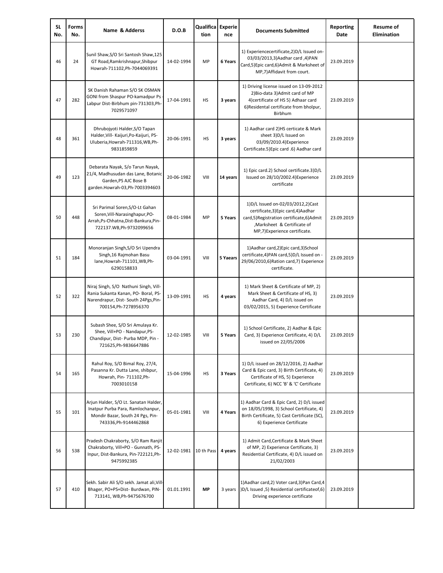| <b>SL</b><br>No. | <b>Forms</b><br>No. | Name & Adderss                                                                                                                                | D.O.B      | Qualifica Experie<br>tion | nce      | <b>Documents Submitted</b>                                                                                                                                                           | <b>Reporting</b><br>Date | <b>Resume of</b><br><b>Elimination</b> |
|------------------|---------------------|-----------------------------------------------------------------------------------------------------------------------------------------------|------------|---------------------------|----------|--------------------------------------------------------------------------------------------------------------------------------------------------------------------------------------|--------------------------|----------------------------------------|
| 46               | 24                  | Sunil Shaw, S/O Sri Santosh Shaw, 125<br>GT Road, Ramkrishnapur, Shibpur<br>Howrah-711102, Ph-7044069391                                      | 14-02-1994 | MP                        | 6 Years  | 1) Experiencecertificate, 2) D/L Issued on-<br>03/03/2013,3) Aadhar card ,4) PAN<br>Card,5)Epic card,6)Admit & Marksheet of<br>MP,7)Affidavit from court.                            | 23.09.2019               |                                        |
| 47               | 282                 | SK Danish Rahaman S/O SK OSMAN<br>GONI from Shaspur PO-kamadpur Ps<br>Labpur Dist-Birbhum pin-731303,Ph-<br>7029571097                        | 17-04-1991 | HS                        | 3 years  | 1) Driving license issued on 13-09-2012<br>2) Bio-data 3) Admit card of MP<br>4) certificate of HS 5) Adhaar card<br>6) Residental certificate from bholpur,<br>Birbhum              | 23.09.2019               |                                        |
| 48               | 361                 | Dhrubojyoti Halder, S/O Tapan<br>Halder, Vill- Kaijuri, Po-Kaijuri, PS-<br>Uluberia, Howrah-711316, WB, Ph-<br>9831859859                     | 20-06-1991 | HS                        | 3 years  | 1) Aadhar card 2)HS certicate & Mark<br>sheet 3)D/L Issued on<br>03/09/2010.4) Experience<br>Certificate.5) Epic card .6) Aadhar card                                                | 23.09.2019               |                                        |
| 49               | 123                 | Debarata Nayak, S/o Tarun Nayak,<br>21/4, Madhusudan das Lane, Botanic<br>Garden, PS AJC Bose B<br>garden.Howrah-03,Ph-7003394603             | 20-06-1982 | VIII                      | 14 years | 1) Epic card.2) School certificate.3)D/L<br>Issued on 28/10/2002.4) Experience<br>certificate                                                                                        | 23.09.2019               |                                        |
| 50               | 448                 | Sri Parimal Soren, S/O-Lt Gahan<br>Soren, Vill-Narasinghapur, PO-<br>Arrah, Ps-Chhatna, Dist-Bankura, Pin-<br>722137.WB,Ph-9732099656         | 08-01-1984 | MP                        | 5 Years  | 1)D/L Issued on-02/03/2012,2)Cast<br>certificate, 3) Epic card, 4) Aadhar<br>card,5)Registration certificate,6)Admit<br>, Marksheet & Certificate of<br>MP,7)Experience certificate. | 23.09.2019               |                                        |
| 51               | 184                 | Monoranjan Singh, S/O Sri Upendra<br>Singh, 16 Rajmohan Basu<br>lane, Howrah-711101, WB, Ph-<br>6290158833                                    | 03-04-1991 | VIII                      | 5 Yaears | 1) Aadhar card, 2) Epic card, 3) School<br>certificate,4)PAN card,5)D/L Issued on -<br>29/06/2010,6) Ration card,7) Experience<br>certificate.                                       | 23.09.2019               |                                        |
| 52               | 322                 | Niraj Singh, S/O Nathuni Singh, Vill-<br>Rania Sukanta Kanan, PO- Boral, PS-<br>Narendrapur, Dist- South 24Pgs, Pin-<br>700154, Ph-7278956370 | 13-09-1991 | HS                        | 4 years  | 1) Mark Sheet & Certificate of MP, 2)<br>Mark Sheet & Certificate of HS, 3)<br>Aadhar Card, 4) D/L issued on<br>03/02/2015, 5) Experience Certificate                                | 23.09.2019               |                                        |
| 53               | 230                 | Subash Shee, S/O Sri Amulaya Kr.<br>Shee, Vill+PO - Nandapur,PS-<br>Chandipur, Dist- Purba MDP, Pin -<br>721625, Ph-9836647886                | 12-02-1985 | VIII                      | 5 Years  | 1) School Certificate, 2) Aadhar & Epic<br>Card, 3) Experience Certificate, 4) D/L<br>issued on 22/05/2006                                                                           | 23.09.2019               |                                        |
| 54               | 165                 | Rahul Roy, S/O Bimal Roy, 27/4,<br>Pasanna Kr. Dutta Lane, shibpur,<br>Howrah, Pin- 711102, Ph-<br>7003010158                                 | 15-04-1996 | HS                        | 3 Years  | 1) D/L issued on 28/12/2016, 2) Aadhar<br>Card & Epic card, 3) Birth Certificate, 4)<br>Certificate of HS, 5) Experience<br>Certificate, 6) NCC 'B' & 'C' Certificate                | 23.09.2019               |                                        |
| 55               | 101                 | Arjun Halder, S/O Lt. Sanatan Halder,<br>Inatpur Purba Para, Ramlochanpur,<br>Mondir Bazar, South 24 Pgs, Pin-<br>743336, Ph-9144462868       | 05-01-1981 | VIII                      | 4 Years  | 1) Aadhar Card & Epic Card, 2) D/L issued<br>on 18/05/1998, 3) School Certificate, 4)<br>Birth Certificate, 5) Cast Certificate (SC),<br>6) Experience Certificate                   | 23.09.2019               |                                        |
| 56               | 538                 | Pradesh Chakraborty, S/O Ram Ranjit<br>Chakraborty, Vill+PO - Gunnath, PS-<br>Inpur, Dist-Bankura, Pin-722121, Ph-<br>9475992385              | 12-02-1981 | 10 th Pass                | 4 years  | 1) Admit Card, Certificate & Mark Sheet<br>of MP, 2) Experience Certificate, 3)<br>Residential Certificate, 4) D/L issued on<br>21/02/2003                                           | 23.09.2019               |                                        |
| 57               | 410                 | Sekh. Sabir Ali S/O sekh. Jamat ali, Vill-<br>Bhager, PO+PS+Dist- Burdwan, PIN-<br>713141, WB, Ph-9475676700                                  | 01.01.1991 | MP                        | 3 years  | 1) Aadhar card, 2) Voter card, 3) Pan Card, 4<br>(5, D/L Issued ,5) Residential certificateof (6<br>Driving experience certificate                                                   | 23.09.2019               |                                        |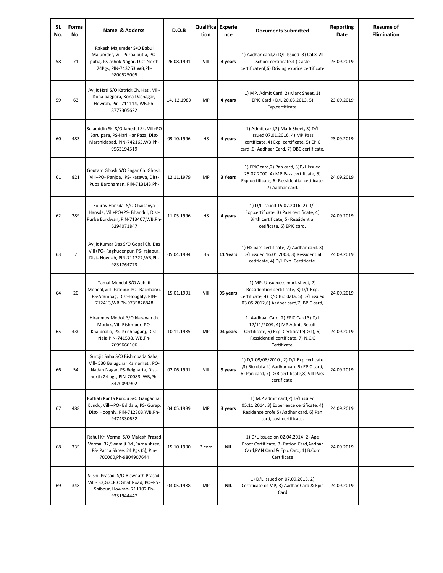| <b>SL</b><br>No. | <b>Forms</b><br>No. | Name & Adderss                                                                                                                                              | D.O.B      | Qualifica Experie<br>tion | nce        | <b>Documents Submitted</b>                                                                                                                                                | <b>Reporting</b><br>Date | <b>Resume of</b><br><b>Elimination</b> |
|------------------|---------------------|-------------------------------------------------------------------------------------------------------------------------------------------------------------|------------|---------------------------|------------|---------------------------------------------------------------------------------------------------------------------------------------------------------------------------|--------------------------|----------------------------------------|
| 58               | 71                  | Rakesh Majumder S/O Babul<br>Majumder, Vill-Purba putia, PO-<br>putia, PS-ashok Nagar. Dist-North<br>24Pgs, PIN-743263, WB, Ph-<br>9800525005               | 26.08.1991 | VIII                      | 3 years    | 1) Aadhar card, 2) D/L Issued , 3) Calss VII<br>School certificate, 4) Caste<br>certificateof,6) Driving exprice certificate                                              | 23.09.2019               |                                        |
| 59               | 63                  | Avijit Hati S/O Katrick Ch. Hati, Vill-<br>Kona bagpara, Kona Dasnagar,<br>Howrah, Pin- 711114, WB, Ph-<br>8777305622                                       | 14.12.1989 | MP                        | 4 years    | 1) MP. Admit Card, 2) Mark Sheet, 3)<br>EPIC Card,) D/L 20.03.2013, 5)<br>Exp,certificate,                                                                                | 23.09.2019               |                                        |
| 60               | 483                 | Sujauddin Sk. S/O Jahedul Sk. Vill+PO-<br>Baruipara, PS-Hari Har Paza, Dist-<br>Marshidabad, PIN-742165, WB, Ph-<br>9563194519                              | 09.10.1996 | HS                        | 4 years    | 1) Admit card, 2) Mark Sheet, 3) D/L<br>Issued 07.01.2016, 4) MP Pass<br>certificate, 4) Exp, certificate, 5) EPIC<br>card, 6) Aadhaar Card, 7) OBC certificate,          | 23.09.2019               |                                        |
| 61               | 821                 | Goutam Ghosh S/O Sagar Ch. Ghosh.<br>Vill+PO- Panjoa, PS- katawa, Dist-<br>Puba Bardhaman, PIN-713143, Ph-                                                  | 12.11.1979 | MP                        | 3 Years    | 1) EPIC card, 2) Pan card, 3) D/L Issued<br>25.07.2000, 4) MP Pass certificate, 5)<br>Exp.certificate, 6) Ressidential cetificate,<br>7) Aadhar card.                     | 24.09.2019               |                                        |
| 62               | 289                 | Sourav Hansda S/O Chaitanya<br>Hansda, Vill+PO+PS- Bhandul, Dist-<br>Purba Burdwan, PIN-713407, WB, Ph-<br>6294071847                                       | 11.05.1996 | HS                        | 4 years    | 1) D/L Issued 15.07.2016, 2) D/L<br>Exp.certificate, 3) Pass certificate, 4)<br>Birth certificate, 5) Ressidential<br>cetificate, 6) EPIC card.                           | 24.09.2019               |                                        |
| 63               | 2                   | Avijit Kumar Das S/O Gopal Ch, Das<br>Vill+PO- Raghudenpur, PS- rajapur,<br>Dist-Howrah, PIN-711322, WB, Ph-<br>9831764773                                  | 05.04.1984 | HS                        | 11 Years   | 1) HS pass certificate, 2) Aadhar card, 3)<br>D/L issued 16.01.2003, 3) Ressidential<br>cetificate, 4) D/L Exp. Certificate.                                              | 24.09.2019               |                                        |
| 64               | 20                  | Tamal Mondal S/O Abhijit<br>Mondal, Vill- Fatepur PO- Bachhanri,<br>PS-Arambag, Dist-Hooghly, PIN-<br>712413, WB, Ph-9735828848                             | 15.01.1991 | VIII                      | 05 years   | 1) MP. Unsuecess mark sheet, 2)<br>Ressidention certificate, 3) D/L Exp.<br>Certificate, 4) D/O Bio data, 5) D/L issued<br>03.05.2012,6) Aadher card,7) BPIC card,        | 24.09.2019               |                                        |
| 65               | 430                 | Hiranmoy Modok S/O Narayan ch.<br>Modok, Vill-Bishmpur, PO-<br>Khalboalia, PS- Krishnaganj, Dist-<br>Naia, PIN-741508, WB, Ph-<br>7699666106                | 10.11.1985 | MP                        | 04 years   | 1) Aadhaar Card. 2) EPIC Card.3) D/L<br>12/11/2009, 4) MP Admit Result<br>Certificate, 5) Exp. Certificate(D/L), 6)<br>Ressidential certificate. 7) N.C.C<br>Certificate. | 24.09.2019               |                                        |
| 66               | 54                  | Surojit Saha S/O Bishmpada Saha,<br>Vill- 530 Balugchar Kamarhati. PO-<br>Nadan Nagar, PS-Belgharia, Dist-<br>north 24 pgs, PIN-70083, WB,Ph-<br>8420090902 | 02.06.1991 | VIII                      | 9 years    | 1) D/L 09/08/2010, 2) D/L Exp.cerficate<br>,3) Bio data 4) Aadhar card,5) EPIC card,<br>6) Pan card, 7) D/B certificate,8) VIII Pass<br>certificate.                      | 24.09.2019               |                                        |
| 67               | 488                 | Rathati Kanta Kundu S/O Gangadhar<br>Kundu, Vill-+PO- Bdidala, PS- Gurap,<br>Dist-Hooghly, PIN-712303, WB, Ph-<br>9474330632                                | 04.05.1989 | MP                        | 3 years    | 1) M.P admit card, 2) D/L issued<br>05.11.2014, 3) Experience certificate, 4)<br>Residence profe,5) Aadhar card, 6) Pan<br>card, cast certificate.                        | 24.09.2019               |                                        |
| 68               | 335                 | Rahul Kr. Verma, S/O Malesh Prasad<br>Verma, 32, Swamiji Rd., Parna shree,<br>PS- Parna Shree, 24 Pgs (S), Pin-<br>700060, Ph-9804907644                    | 15.10.1990 | B.com                     | <b>NIL</b> | 1) D/L issued on 02.04.2014, 2) Age<br>Proof Certificate, 3) Ration Card, Aadhar<br>Card, PAN Card & Epic Card, 4) B.Com<br>Certificate                                   | 24.09.2019               |                                        |
| 69               | 348                 | Sushil Prasad, S/O Biswnath Prasad,<br>Vill - 33, G.C.R.C Ghat Road, PO+PS -<br>Shibpur, Howrah- 711102, Ph-<br>9331944447                                  | 03.05.1988 | MP                        | <b>NIL</b> | 1) D/L issued on 07.09.2015, 2)<br>Certificate of MP, 3) Aadhar Card & Epic<br>Card                                                                                       | 24.09.2019               |                                        |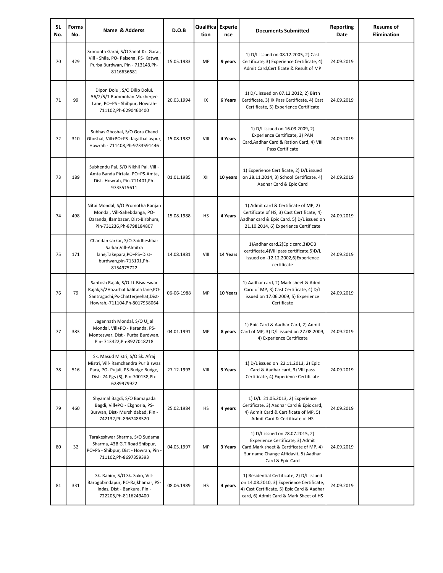| <b>SL</b><br>No. | Forms<br>No. | Name & Adderss                                                                                                                                                | D.O.B      | Qualifica Experie<br>tion | nce      | <b>Documents Submitted</b>                                                                                                                                                     | <b>Reporting</b><br>Date | <b>Resume of</b><br><b>Elimination</b> |
|------------------|--------------|---------------------------------------------------------------------------------------------------------------------------------------------------------------|------------|---------------------------|----------|--------------------------------------------------------------------------------------------------------------------------------------------------------------------------------|--------------------------|----------------------------------------|
| 70               | 429          | Srimonta Garai, S/O Sanat Kr. Garai,<br>Vill - Shila, PO- Palsena, PS- Katwa,<br>Purba Burdwan, Pin - 713143, Ph-<br>8116636681                               | 15.05.1983 | MP                        | 9 years  | 1) D/L issued on 08.12.2005, 2) Cast<br>Certificate, 3) Experience Certificate, 4)<br>Admit Card, Certificate & Result of MP                                                   | 24.09.2019               |                                        |
| 71               | 99           | Dipon Dolui, S/O Dilip Dolui,<br>56/2/5/1 Rammohan Mukherjee<br>Lane, PO+PS - Shibpur, Howrah-<br>711102, Ph-6290460400                                       | 20.03.1994 | IX                        | 6 Years  | 1) D/L issued on 07.12.2012, 2) Birth<br>Certificate, 3) IX Pass Certificate, 4) Cast<br>Certificate, 5) Experience Certificate                                                | 24.09.2019               |                                        |
| 72               | 310          | Subhas Ghoshal, S/O Gora Chand<br>Ghoshal, Vill+PO+PS -Jagatballavpur,<br>Howrah - 711408, Ph-9733591446                                                      | 15.08.1982 | VIII                      | 4 Years  | 1) D/L issued on 16.03.2009, 2)<br>Experience Certificate, 3) PAN<br>Card, Aadhar Card & Ration Card, 4) VIII<br>Pass Certificate                                              | 24.09.2019               |                                        |
| 73               | 189          | Subhendu Pal, S/O Nikhil Pal, Vill -<br>Amta Banda Pirtala, PO+PS-Amta,<br>Dist-Howrah, Pin-711401, Ph-<br>9733515611                                         | 01.01.1985 | XII                       | 10 years | 1) Experience Certificate, 2) D/L issued<br>on 28.11.2014, 3) School Certificate, 4)<br>Aadhar Card & Epic Card                                                                | 24.09.2019               |                                        |
| 74               | 498          | Nitai Mondal, S/O Promotha Ranjan<br>Mondal, Vill-Sahebdanga, PO-<br>Daranda, Ilambazar, Dist-Birbhum,<br>Pin-731236, Ph-8798184807                           | 15.08.1988 | HS                        | 4 Years  | 1) Admit card & Certificate of MP, 2)<br>Certificate of HS, 3) Cast Certificate, 4)<br>Aadhar card & Epic Card, 5) D/L issued on<br>21.10.2014, 6) Experience Certificate      | 24.09.2019               |                                        |
| 75               | 171          | Chandan sarkar, S/O-Siddheshbar<br>Sarkar, Vill-Almitra<br>lane, Takepara, PO+PS+Dist-<br>burdwan,pin-713101,Ph-<br>8154975722                                | 14.08.1981 | VIII                      | 14 Years | 1) Aadhar card, 2) Epic card, 3) DOB<br>certificate, 4) VIII pass certificate, 5) D/L<br>Issued on -12.12.2002,6)Experience<br>certificate                                     | 24.09.2019               |                                        |
| 76               | 79           | Santosh Rajak, S/O-Lt-Bisweswar<br>Rajak, 5/2 Hazarhat kalitala lane, PO-<br>Santragachi, Ps-Chatterjeehat, Dist-<br>Howrah,-711104,Ph-8017958064             | 06-06-1988 | MP                        | 10 Years | 1) Aadhar card, 2) Mark sheet & Admit<br>Card of MP, 3) Cast Certificate, 4) D/L<br>issued on 17.06.2009, 5) Experience<br>Certificate                                         | 24.09.2019               |                                        |
| 77               | 383          | Jagannath Mondal, S/O Ujjal<br>Mondal, Vill+PO - Karanda, PS-<br>Monteswar, Dist - Purba Burdwan,<br>Pin- 713422, Ph-8927018218                               | 04.01.1991 | MP                        | 8 years  | 1) Epic Card & Aadhar Card, 2) Admit<br>Card of MP, 3) D/L issued on 27.08.2009<br>4) Experience Certificate                                                                   | 24.09.2019               |                                        |
| 78               | 516          | Sk. Masud Mistri, S/O Sk. Afraj<br>Mistri, Vill- Ramchandra Pur Biswas<br>Para, PO- Pujali, PS-Budge Budge,<br>Dist-24 Pgs (S), Pin-700138, Ph-<br>6289979922 | 27.12.1993 | VIII                      | 3 Years  | 1) D/L issued on 22.11.2013, 2) Epic<br>Card & Aadhar card, 3) VIII pass<br>Certificate, 4) Experience Certificate                                                             | 24.09.2019               |                                        |
| 79               | 460          | Shyamal Bagdi, S/O Bamapada<br>Bagdi, Vill+PO - Ekghoria, PS-<br>Burwan, Dist- Murshidabad, Pin -<br>742132, Ph-8967488520                                    | 25.02.1984 | HS                        | 4 years  | 1) D/L 21.05.2013, 2) Experience<br>Certificate, 3) Aadhar Card & Epic card,<br>4) Admit Card & Certificate of MP, 5)<br>Admit Card & Certificate of HS                        | 24.09.2019               |                                        |
| 80               | 32           | Tarakeshwar Sharma, S/O Sudama<br>Sharma, 43B G.T.Road Shibpur,<br>PO+PS - Shibpur, Dist - Howrah, Pin -<br>711102, Ph-8697359393                             | 04.05.1997 | MP                        | 3 Years  | 1) D/L issued on 28.07.2015, 2)<br>Experience Certificate, 3) Admit<br>Card, Mark sheet & Certificate of MP, 4)<br>Sur name Change Affidavit, 5) Aadhar<br>Card & Epic Card    | 24.09.2019               |                                        |
| 81               | 331          | Sk. Rahim, S/O Sk. Suko, Vill-<br>Barogobindapur, PO-Rajkhamar, PS-<br>Indas, Dist - Bankura, Pin -<br>722205, Ph-8116249400                                  | 08.06.1989 | <b>HS</b>                 | 4 years  | 1) Residential Certificate, 2) D/L issued<br>on 14.08.2010, 3) Experience Certificate,<br>4) Cast Certificate, 5) Epic Card & Aadhar<br>card, 6) Admit Card & Mark Sheet of HS | 24.09.2019               |                                        |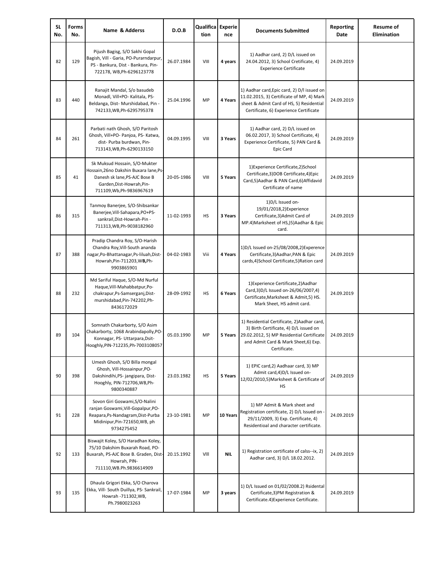| <b>SL</b><br>No. | Forms<br>No. | Name & Adderss                                                                                                                                                     | D.O.B      | Qualifica Experie<br>tion | nce        | <b>Documents Submitted</b>                                                                                                                                                                 | <b>Reporting</b><br>Date | <b>Resume of</b><br><b>Elimination</b> |
|------------------|--------------|--------------------------------------------------------------------------------------------------------------------------------------------------------------------|------------|---------------------------|------------|--------------------------------------------------------------------------------------------------------------------------------------------------------------------------------------------|--------------------------|----------------------------------------|
| 82               | 129          | Pijush Bagisg, S/O Sakhi Gopal<br>Bagish, Vill - Garia, PO-Purarndarpur,<br>PS - Bankura, Dist - Bankura, Pin-<br>722178, WB, Ph-6296123778                        | 26.07.1984 | VIII                      | 4 years    | 1) Aadhar card, 2) D/L issued on<br>24.04.2012, 3) School Cretificate, 4)<br><b>Experience Certificate</b>                                                                                 | 24.09.2019               |                                        |
| 83               | 440          | Ranajit Mandal, S/o basudeb<br>Monadl, Vill+PO- Kalitala, PS-<br>Beldanga, Dist-Murshidabad, Pin -<br>742133, WB, Ph-6295795378                                    | 25.04.1996 | MP                        | 4 Years    | 1) Aadhar card, Epic card, 2) D/l issued on<br>11.02.2015, 3) Certificate of MP, 4) Mark<br>sheet & Admit Card of HS, 5) Residential<br>Certificate, 6) Experience Certificate             | 24.09.2019               |                                        |
| 84               | 261          | Parbati nath Ghosh, S/O Paritosh<br>Ghosh, Vill+PO- Panjoa, PS- Katwa,<br>dist- Purba burdwan, Pin-<br>713143, WB, Ph-6290133150                                   | 04.09.1995 | VIII                      | 3 Years    | 1) Aadhar card, 2) D/L issued on<br>06.02.2017, 3) School Certificate, 4)<br>Experience Certificate, 5) PAN Card &<br>Epic Card                                                            | 24.09.2019               |                                        |
| 85               | 41           | Sk Muksud Hossain, S/O-Mukter<br>Hossain, 26no Dakshin Buxara lane, Ps-<br>Danesh sk lane, PS-AJC Bose B<br>Garden, Dist-Howrah, Pin-<br>711109, Wb, Ph-9836967619 | 20-05-1986 | VIII                      | 5 Years    | 1) Experience Certificate, 2) School<br>Certificate,3)DOB Certificate,4)Epic<br>Card,5)Aadhar & PAN Card,6)Affidavid<br>Certificate of name                                                | 24.09.2019               |                                        |
| 86               | 315          | Tanmoy Banerjee, S/O-Shibsankar<br>Banerjee, Vill-Sahapara, PO+PS-<br>sankrail, Dist-Howrah-Pin -<br>711313, WB, Ph-9038182960                                     | 11-02-1993 | HS                        | 3 Years    | 1) D/L Issued on-<br>19/01/2018,2)Experience<br>Certificate,3)Admit Card of<br>MP.4) Marksheet of HS, J5) Aadhar & Epic<br>card.                                                           | 24.09.2019               |                                        |
| 87               | 388          | Pradip Chandra Roy, S/O-Harish<br>Chandra Roy, Vill-South ananda<br>nagar, Po-Bhattanagar, Ps-liluah, Dist-<br>Howrah, Pin-711203, WB, Ph-<br>9903865901           | 04-02-1983 | Viii                      | 4 Years    | 1)D/L Issued on-25/08/2008,2)Experence<br>Certificate, 3) Aadhar, PAN & Epic<br>cards,4)School Certificate,5)Ration card                                                                   | 24.09.2019               |                                        |
| 88               | 232          | Md Sariful Haque, S/O-Md Nurful<br>Haque, Vill-Mahabbatpur, Po-<br>chakrapur, Ps-Samserganj, Dist-<br>murshidabad, Pin-742202, Ph-<br>8436172029                   | 28-09-1992 | <b>HS</b>                 | 6 Years    | 1) Experience Certificate, 2) Aadhar<br>Card, 3) D/L Issued on-26/06/2007, 4)<br>Certificate, Marksheet & Admit, 5) HS.<br>Mark Sheet, HS admit card.                                      | 24.09.2019               |                                        |
| 89               | 104          | Somnath Chakarborty, S/O Asim<br>Chakarborty, 1068 Arabindapolly, PO<br>Konnagar, PS- Uttarpara, Dsit-<br>Hooghly,PIN-712235,Ph-7003108057                         | 05.03.1990 | MP                        | 5 Years    | 1) Residential Certificate, 2) Aadhar card,<br>3) Birth Certificate, 4) D/L issued on<br>29.02.2012, 5) MP Residential Certificate<br>and Admit Card & Mark Sheet, 6) Exp.<br>Certificate. | 24.09.2019               |                                        |
| 90               | 398          | Umesh Ghosh, S/O Billa mongal<br>Ghosh, Vill-Hossainpur, PO-<br>Dakshindihi, PS- jangipara, Dist-<br>Hooghly, PIN-712706, WB, Ph-<br>9800340887                    | 23.03.1982 | HS                        | 5 Years    | 1) EPIC card, 2) Aadhaar card, 3) MP<br>Admit card, 4) D/L Issued on-<br>12/02/2010,5)Marksheet & Certificate of<br>HS                                                                     | 24.09.2019               |                                        |
| 91               | 228          | Sovon Giri Goswami, S/O-Nalini<br>ranjan Goswami, Vill-Gopalpur, PO-<br>Reapara, Ps-Nandagram, Dist-Purba<br>Midinipur, Pin-721650, WB, ph<br>9734275452           | 23-10-1981 | MP                        | 10 Years   | 1) MP Admit & Mark sheet and<br>Registration certificate, 2) D/L Issued on<br>29/11/2009, 3) Exp. Certificate, 4)<br>Residentioal and character certificate.                               | 24.09.2019               |                                        |
| 92               | 133          | Biswajit Koley, S/O Haradhan Koley,<br>75/10 Dakshim Buxarah Road, PO-<br>Buxarah, PS-AJC Bose B. Graden, Dist-<br>Howrah, PIN-<br>711110, WB.Ph.9836614909        | 20.15.1992 | VIII                      | <b>NIL</b> | 1) Registration certificate of calss--ix, 2)<br>Aadhar card, 3) D/L 18.02.2012.                                                                                                            | 24.09.2019               |                                        |
| 93               | 135          | Dhaula Grigori Ekka, S/O Charova<br>Ekka, Vill- South Duillya, PS- Sankrail,<br>Howrah -711302, WB,<br>Ph.7980023263                                               | 17-07-1984 | MP                        | 3 years    | 1) D/L Issued on 01/02/2008.2) Rsidental<br>Certificate, 3) PM Registration &<br>Certificate.4) Experience Certificate.                                                                    | 24.09.2019               |                                        |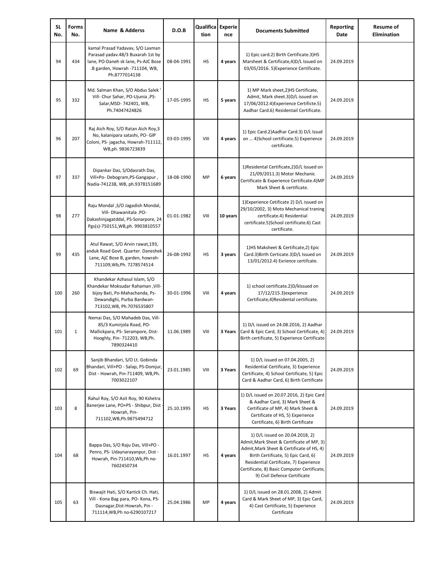| <b>SL</b><br>No. | Forms<br>No. | Name & Adderss                                                                                                                                                  | D.O.B      | Qualifica Experie<br>tion | nce      | <b>Documents Submitted</b>                                                                                                                                                                                                                                                                | Reporting<br>Date | <b>Resume of</b><br><b>Elimination</b> |
|------------------|--------------|-----------------------------------------------------------------------------------------------------------------------------------------------------------------|------------|---------------------------|----------|-------------------------------------------------------------------------------------------------------------------------------------------------------------------------------------------------------------------------------------------------------------------------------------------|-------------------|----------------------------------------|
| 94               | 434          | kamal Prasad Yadavav, S/O Laxman<br>Parasad yadav.48/3 Buxarah 1st by<br>lane, PO-Daneh sk lane, Ps-AJC Bose<br>.B garden, Howrah -711104, WB,<br>Ph.8777014138 | 08-04-1991 | HS                        | 4 years  | 1) Epic card.2) Birth Certificate.3)HS<br>Marsheet & Certificate, 4) D/L Issued on<br>03/05/2016. 5) Experience Certificate.                                                                                                                                                              | 24.09.2019        |                                        |
| 95               | 332          | Md. Salman Khan, S/O Abdus Salek '<br>Vill- Chur Sahar, PO-Ujunia ,PS-<br>Salar, MSD- 742401, WB,<br>Ph.74047424826                                             | 17-05-1995 | HS                        | 5 years  | 1) MP Mark sheet, 2) HS Certificate,<br>Admit, Mark sheet.3)D/L issued on<br>17/06/2012.4) Experience Certificte.5)<br>Aadhar Card.6) Residentail Certificate.                                                                                                                            | 24.09.2019        |                                        |
| 96               | 207          | Raj Aich Roy, S/O Ratan Aich Roy, 3<br>No, kalanipara satashi, PO- GIP<br>Coloni, PS- jagacha, Howrah-711112,<br>WB,ph. 9836723839                              | 03-03-1995 | VIII                      | 4 years  | 1) Epic Card.2) Aadhar Card.3) D/L Issud<br>on  4) School certificate. 5) Experience<br>certificate.                                                                                                                                                                                      | 24.09.2019        |                                        |
| 97               | 337          | Dipankar Das, S/Odasrath Das,<br>Vill+Po- Debogram,PS-Gangapur,<br>Nadia-741238, WB, ph.9378151689                                                              | 18-08-1990 | MP                        | 6 years  | 1) Residental Certificate, 2) D/L Issued on<br>21/09/2011.3) Motor Mechanic<br>Certificate & Experience Certificate.4)MP<br>Mark Sheet & certificate.                                                                                                                                     | 24.09.2019        |                                        |
| 98               | 277          | Raju Mondal , S/O Jagadish Mondal,<br>Vill-Dhawanitala .PO-<br>Dakashinjagatddal, PS-Sonarpore, 24<br>Pgs(s)-750151, WB, ph. 9903810557                         | 01-01-1982 | VIII                      | 10 years | 1) Experience Cetificate 2) D/L issued on<br>29/10/2002, 3) Moto Mechanical traning<br>certificate.4) Residential<br>certificate.5)School certificate.6) Cast<br>certificate.                                                                                                             | 24.09.2019        |                                        |
| 99               | 435          | Atul Rawat, S/O Arvin rawat, 193,<br>anduk Road Govt. Quarter. Daneshek<br>Lane, AjC Bose B, garden, howrah-<br>711109, Wb, Ph. 7278574514                      | 26-08-1992 | HS                        | 3 years  | 1)HS Maksheet & Certificate, 2) Epic<br>Card.3) Birth Certicate.3) D/L Issued on<br>13/01/2012.4) Exrience certifcate.                                                                                                                                                                    | 24.09.2019        |                                        |
| 100              | 260          | Khandekar Azhasul Islam, S/O<br>Khandekar Moksudar Rahaman , Vill-<br>bijoy Bati, Po-Mahachanda, Ps-<br>Dewandighi, Purba Bardwan-<br>713102, WB, Ph.7076535807 | 30-01-1996 | VIII                      | 4 years  | 1) school certificate.2)D/kIssued on<br>17/12/215.3) experience<br>Certificate, 4) Residental certificate.                                                                                                                                                                                | 24.09.2019        |                                        |
| 101              | $\mathbf{1}$ | Nemai Das, S/O Mahadeb Das, Vill-<br>85/3 Kumirjola Road, PO-<br>Mallickpara, PS- Serampore, Dist-<br>Hooghly, Pin- 712203, WB, Ph.<br>7890324410               | 11.06.1989 | VIII                      | 3 Years  | 1) D/L issued on 24.08.2016, 2) Aadhar<br>Card & Epic Card, 3) School Certificate, 4)<br>Birth certificate, 5) Experience Certificate                                                                                                                                                     | 24.09.2019        |                                        |
| 102              | 69           | Sanjib Bhandari, S/O Lt. Gobinda<br>Bhandari, Vill+PO - Salap, PS-Domjur,<br>Dist - Howrah, Pin-711409, WB, Ph.<br>7003022107                                   | 23.01.1985 | VIII                      | 3 Years  | 1) D/L issued on 07.04.2005, 2)<br>Residential Certificate, 3) Experience<br>Certificate, 4) School Certificate, 5) Epic<br>Card & Aadhar Card, 6) Birth Certificate                                                                                                                      | 24.09.2019        |                                        |
| 103              | 8            | Rahul Roy, S/O Asit Roy, 90 Kshetra<br>Banerjee Lane, PO+PS - Shibpur, Dist<br>Howrah, Pin-<br>711102, WB, Ph.9875494712                                        | 25.10.1995 | HS                        | 3 Years  | 1) D/L issued on 20.07.2016, 2) Epic Card<br>& Aadhar Card, 3) Mark Sheet &<br>Certificate of MP, 4) Mark Sheet &<br>Certificate of HS, 5) Experience<br>Certificate, 6) Birth Certificate                                                                                                | 24.09.2019        |                                        |
| 104              | 68           | Bappa Das, S/O Raju Das, Vill+PO -<br>Penro, PS- Udaynarayanpur, Dist -<br>Howrah, Pin-711410, Wb, Ph no-<br>7602450734                                         | 16.01.1997 | HS                        | 4 years  | 1) D/L issued on 20.04.2018, 2)<br>Admit, Mark Sheet & Certificate of MP, 3)<br>Admit, Mark Sheet & Certificate of HS, 4)<br>Birth Certificate, 5) Epic Card, 6)<br>Residential Certificate, 7) Experience<br>Certificate, 8) Basic Computer Certificate,<br>9) Civil Defence Certificate | 24.09.2019        |                                        |
| 105              | 63           | Biswajit Hati, S/O Kartick Ch. Hati,<br>Vill - Kona Bag para, PO- Kona, PS-<br>Dasnagar, Dist-Howrah, Pin -<br>711114, WB, Ph no-6290107217                     | 25.04.1986 | MP                        | 4 years  | 1) D/L issued on 28.01.2008, 2) Admit<br>Card & Mark Sheet of MP, 3) Epic Card,<br>4) Cast Certificate, 5) Experience<br>Certificate                                                                                                                                                      | 24.09.2019        |                                        |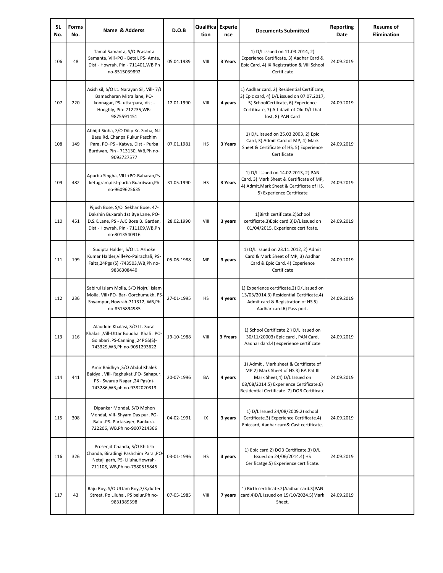| <b>SL</b><br>No. | <b>Forms</b><br>No. | Name & Adderss                                                                                                                                                         | D.O.B      | Qualifica Experie<br>tion | nce      | <b>Documents Submitted</b>                                                                                                                                                                              | <b>Reporting</b><br>Date | <b>Resume of</b><br><b>Elimination</b> |
|------------------|---------------------|------------------------------------------------------------------------------------------------------------------------------------------------------------------------|------------|---------------------------|----------|---------------------------------------------------------------------------------------------------------------------------------------------------------------------------------------------------------|--------------------------|----------------------------------------|
| 106              | 48                  | Tamal Samanta, S/O Prasanta<br>Samanta, Vill+PO - Betai, PS- Amta,<br>Dist - Howrah, Pin - 711401, WB Ph<br>no-8515039892                                              | 05.04.1989 | VIII                      | 3 Years  | 1) D/L issued on 11.03.2014, 2)<br>Experience Certificate, 3) Aadhar Card &<br>Epic Card, 4) IX Registration & VIII School<br>Certificate                                                               | 24.09.2019               |                                        |
| 107              | 220                 | Asish sil, S/O Lt. Narayan Sil, Vill- 7/J<br>Bamacharan Mitra lane, PO-<br>konnagar, PS- uttarpara, dist -<br>Hooghly, Pin- 712235, WB-<br>9875591451                  | 12.01.1990 | VIII                      | 4 years  | 1) Aadhar card, 2) Residential Certificate,<br>3) Epic card, 4) D/L issued on 07.07.2017<br>5) SchoolCertiicate, 6) Experience<br>Certificate, 7) Affidavit of Old D/L that<br>lost, 8) PAN Card        | 24.09.2019               |                                        |
| 108              | 149                 | Abhijit Sinha, S/O Dilip Kr. Sinha, N.L<br>Basu Rd. Chanpa Pukur Paschim<br>Para, PO+PS - Katwa, Dist - Purba<br>Burdwan, Pin - 713130, WB, Ph no-<br>9093727577       | 07.01.1981 | <b>HS</b>                 | 3 Years  | 1) D/L issued on 25.03.2003, 2) Epic<br>Card, 3) Admit Card of MP, 4) Mark<br>Sheet & Certificate of HS, 5) Experience<br>Certificate                                                                   | 24.09.2019               |                                        |
| 109              | 482                 | Apurba Singha, VILL+PO-Baharan, Ps-<br>ketugram, dist-purba Buardwan, Ph<br>no-9609625635                                                                              | 31.05.1990 | HS                        | 3 Years  | 1) D/L issued on 14.02.2013, 2) PAN<br>Card, 3) Mark Sheet & Certificate of MP,<br>4) Admit, Mark Sheet & Certificate of HS,<br>5) Experience Certificate                                               | 24.09.2019               |                                        |
| 110              | 451                 | Pijush Bose, S/O Sekhar Bose, 47-<br>Dakshin Buxarah 1st Bye Lane, PO-<br>D.S.K.Lane, PS - AJC Bose B. Garden,<br>Dist - Howrah, Pin - 711109, WB, Ph<br>no-8013540916 | 28.02.1990 | VIII                      | 3 years  | 1) Birth certificate.2) School<br>certificate.3) Epic card.3) D/L issued on<br>01/04/2015. Experience certifcate.                                                                                       | 24.09.2019               |                                        |
| 111              | 199                 | Sudipta Halder, S/O Lt. Ashoke<br>Kumar Halder, Vill+Po-Pairachali, PS-<br>Falta, 24Pgs (S) - 743503, WB, Ph no-<br>9836308440                                         | 05-06-1988 | MP                        | 3 years  | 1) D/L issued on 23.11.2012, 2) Admit<br>Card & Mark Sheet of MP, 3) Aadhar<br>Card & Epic Card, 4) Experience<br>Certificate                                                                           | 24.09.2019               |                                        |
| 112              | 236                 | Sabirul islam Molla, S/O Nojrul Islam<br>Molla, Vill+PO- Bar- Gorchumukh, PS<br>Shyampur, Howrah-711312, WB,Ph<br>no-8515894985                                        | 27-01-1995 | <b>HS</b>                 | 4 years  | 1) Experience certificate.2) D/Lissued on<br>13/03/2014.3) Residential Certificate.4)<br>Admit card & Registration of HS.5)<br>Aadhar card.6) Pass port.                                                | 24.09.2019               |                                        |
| 113              | 116                 | Alauddin Khalasi, S/O Lt. Surat<br>Khalasi , Vill-Uttar Boudha Khali . PO-<br>-34PGS(S). Golabari .PS-Canning<br>743329, WB, Ph no-9051293622                          | 19-10-1988 | VIII                      | 3 Yrears | 1) School Certificate.2 ) D/L issued on<br>30/11/20003) Epic card, PAN Card,<br>Aadhar dard.4) experience certificate                                                                                   | 24.09.2019               |                                        |
| 114              | 441                 | Amir Baidhya , S/O Abdul Khalek<br>Baidya, Vill- Raghukati, PO-Sahapur.<br>PS - Swarup Nagar , 24 Pgs(n)-<br>743286, WB, ph no-9382020313                              | 20-07-1996 | BA                        | 4 years  | 1) Admit, Mark sheet & Certificate of<br>MP.2) Mark Sheet of HS.3) BA Pat III<br>Mark Sheet, 4) D/L Issued on<br>08/08/2014.5) Experience Certificate.6)<br>Residential Certificate. 7) DOB Certificate | 24.09.2019               |                                        |
| 115              | 308                 | Dipankar Mondal, S/O Mohon<br>Mondal, Vill- Shyam Das pur , PO-<br>Balut.PS- Partasayer, Bankura-<br>722206, WB, Ph no-9007214366                                      | 04-02-1991 | IX                        | 3 years  | 1) D/L Issued 24/08/2009.2) school<br>Certificate.3) Experience Certificate.4)<br>Epiccard, Aadhar card& Cast certificate,                                                                              | 24.09.2019               |                                        |
| 116              | 326                 | Prosenjit Chanda, S/O Khitish<br>Chanda, Biradingi Pashchim Para , PO<br>Netaji garh, PS- Liluha, Howrah-<br>711108, WB, Ph no-7980515845                              | 03-01-1996 | <b>HS</b>                 | 3 years  | 1) Epic card.2) DOB Certificate.3) D/L<br>Issued on 24/06/2014.4) HS<br>Cerificatge.5) Experience certificate.                                                                                          | 24.09.2019               |                                        |
| 117              | 43                  | Raju Roy, S/O Uttam Roy, 7/3, duffer<br>Street. Po Liluha , PS belur, Ph no-<br>9831389598                                                                             | 07-05-1985 | VIII                      | 7 years  | 1) Birth certificate.2) Aadhar card.3) PAN<br>card.4)D/L Issued on 15/10/2024.5)Mark<br>Sheet.                                                                                                          | 24.09.2019               |                                        |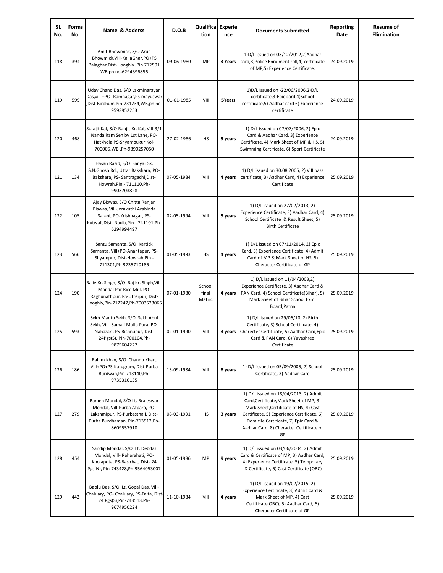| <b>SL</b><br>No. | <b>Forms</b><br>No. | Name & Adderss                                                                                                                                            | D.O.B      | <b>Qualifica</b> Experie<br>tion | nce     | <b>Documents Submitted</b>                                                                                                                                                                                                                                         | <b>Reporting</b><br>Date | <b>Resume of</b><br><b>Elimination</b> |
|------------------|---------------------|-----------------------------------------------------------------------------------------------------------------------------------------------------------|------------|----------------------------------|---------|--------------------------------------------------------------------------------------------------------------------------------------------------------------------------------------------------------------------------------------------------------------------|--------------------------|----------------------------------------|
| 118              | 394                 | Amit Bhowmick, S/O Arun<br>Bhowmick, Vill-KaliaGhar, PO+PS<br>Balaghar, Dist-Hooghly, Pin 712501<br>WB,ph no-6294396856                                   | 09-06-1980 | MP                               | 3 Years | 1) D/L Issued on 03/12/2012, 2) Aadhar<br>card, 3) Police Enrolment roll, 4) certificate<br>of MP,5) Experience Certificate.                                                                                                                                       | 24.09.2019               |                                        |
| 119              | 599                 | Uday Chand Das, S/O Laxminarayan<br>Das, vill +PO- Ramnagar, Ps-mayuswar<br>Dist-Birbhum,Pin-731234,WB,ph no<br>9593952253                                | 01-01-1985 | VIII                             | 5Years  | 1)D/L Issued on -22/06/2006,2)D/L<br>certificate,3)Epic card,4)School<br>certificate,5) Aadhar card 6) Experience<br>certificate                                                                                                                                   | 24.09.2019               |                                        |
| 120              | 468                 | Surajit Kal, S/O Ranjit Kr. Kal, Vill-3/1<br>Nanda Ram Sen by 1st Lane, PO-<br>Hatkhola, PS-Shyampukur, Kol-<br>700005, WB , Ph-9890257050                | 27-02-1986 | HS                               | 5 years | 1) D/L issued on 07/07/2006, 2) Epic<br>Card & Aadhar Card, 3) Experience<br>Certificate, 4) Mark Sheet of MP & HS, 5)<br>Swimming Certificate, 6) Sport Certificate                                                                                               | 24.09.2019               |                                        |
| 121              | 134                 | Hasan Rasid, S/O Sanyar Sk,<br>S.N.Ghosh Rd., Uttar Bakshara, PO-<br>Bakshara, PS- Santragachi, Dist-<br>Howrah, Pin - 711110, Ph-<br>9903703828          | 07-05-1984 | VIII                             | 4 years | 1) D/L issued on 30.08.2005, 2) VIII pass<br>certificate, 3) Aadhar Card, 4) Experience<br>Certificate                                                                                                                                                             | 25.09.2019               |                                        |
| 122              | 105                 | Ajay Biswas, S/O Chitta Ranjan<br>Biswas, Vill-Jorakuthi Arabinda<br>Sarani, PO-Krishnagar, PS-<br>Kotwali, Dist - Nadia, Pin - 741101, Ph-<br>6294994497 | 02-05-1994 | VIII                             | 5 years | 1) D/L issued on 27/02/2013, 2)<br>Experience Certificate, 3) Aadhar Card, 4<br>School Certificate & Result Sheet, 5)<br><b>Birth Certificate</b>                                                                                                                  | 25.09.2019               |                                        |
| 123              | 566                 | Santu Samanta, S/O Kartick<br>Samanta, Vill+PO-Anantapur, PS-<br>Shyampur, Dist-Howrah, Pin -<br>711301, Ph-9735710186                                    | 01-05-1993 | HS                               | 4 years | 1) D/L issued on 07/11/2014, 2) Epic<br>Card, 3) Experience Certificate, 4) Admit<br>Card of MP & Mark Sheet of HS, 5)<br>Cheracter Certificate of GP                                                                                                              | 25.09.2019               |                                        |
| 124              | 190                 | Rajiv Kr. Singh, S/O Raj Kr. Singh, Vill-<br>Mondal Par Rice Mill, PO-<br>Raghunathpur, PS-Utterpur, Dist-<br>Hooghly, Pin-712247, Ph-7003523065          | 07-01-1980 | School<br>final<br>Matric        | 4 years | 1) D/L issued on 11/04/2003,2)<br>Experience Certificate, 3) Aadhar Card &<br>PAN Card, 4) School Certificate(Bihar), 5)<br>Mark Sheet of Bihar School Exm.<br>Board, Patna                                                                                        | 25.09.2019               |                                        |
| 125              | 593                 | Sekh Mantu Sekh, S/O Sekh Abul<br>Sekh, Vill- Samali Molla Para, PO-<br>Nahazari, PS-Bishnupur, Dist-<br>24Pgs(S), Pin-700104, Ph-<br>9875604227          | 02-01-1990 | VIII                             | 3 years | 1) D/L issued on 29/06/10, 2) Birth<br>Certificate, 3) School Certificate, 4)<br>Charecter Certificate, 5) Aadhar Card, Epic<br>Card & PAN Card, 6) Yuvashree<br>Certificate                                                                                       | 25.09.2019               |                                        |
| 126              | 186                 | Rahim Khan, S/O Chandu Khan,<br>Vill+PO+PS-Katugram, Dist-Purba<br>Burdwan, Pin-713140, Ph-<br>9735316135                                                 | 13-09-1984 | VIII                             | 8 years | 1) D/L issued on 05/09/2005, 2) School<br>Certificate, 3) Aadhar Card                                                                                                                                                                                              | 25.09.2019               |                                        |
| 127              | 279                 | Ramen Mondal, S/O Lt. Brajeswar<br>Mondal, Vill-Purba Atpara, PO-<br>Lakshmipur, PS-Purbasthali, Dist-<br>Purba Burdhaman, Pin-713512, Ph-<br>8609557910  | 08-03-1991 | HS                               | 3 years | 1) D/L issued on 18/04/2013, 2) Admit<br>Card, Certificate, Mark Sheet of MP, 3)<br>Mark Sheet, Certificate of HS, 4) Cast<br>Certificate, 5) Experience Certificate, 6)<br>Domicile Certificate, 7) Epic Card &<br>Aadhar Card, 8) Cheracter Certificate of<br>GP | 25.09.2019               |                                        |
| 128              | 454                 | Sandip Mondal, S/O Lt. Debdas<br>Mondal, Vill- Raharahati, PO-<br>Kholapota, PS-Basirhat, Dist-24<br>Pgs(N), Pin-743428, Ph-9564053007                    | 01-05-1986 | MP                               | 9 years | 1) D/L issued on 03/06/2004, 2) Admit<br>Card & Certificate of MP, 3) Aadhar Card<br>4) Experience Certificate, 5) Temporary<br>ID Certificate, 6) Cast Certificate (OBC)                                                                                          | 25.09.2019               |                                        |
| 129              | 442                 | Bablu Das, S/O Lt. Gopal Das, Vill-<br>Chaluary, PO- Chaluary, PS-Falta, Dist-<br>24 Pgs(S), Pin-743513, Ph-<br>9674950224                                | 11-10-1984 | VIII                             | 4 years | 1) D/L issued on 19/02/2015, 2)<br>Experience Certificate, 3) Admit Card &<br>Mark Sheet of MP, 4) Cast<br>Certificate(OBC), 5) Aadhar Card, 6)<br>Cheracter Certificate of GP                                                                                     | 25.09.2019               |                                        |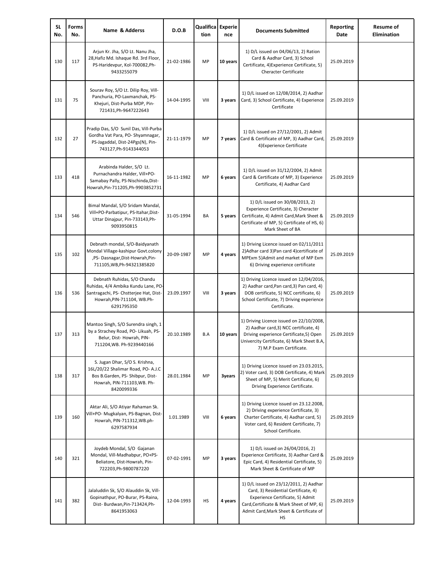| <b>SL</b><br>No. | Forms<br>No. | Name & Adderss                                                                                                                                           | D.O.B      | Qualifica Experie<br>tion | nce      | <b>Documents Submitted</b>                                                                                                                                                                                      | <b>Reporting</b><br>Date | <b>Resume of</b><br><b>Elimination</b> |
|------------------|--------------|----------------------------------------------------------------------------------------------------------------------------------------------------------|------------|---------------------------|----------|-----------------------------------------------------------------------------------------------------------------------------------------------------------------------------------------------------------------|--------------------------|----------------------------------------|
| 130              | 117          | Arjun Kr. Jha, S/O Lt. Nanu Jha,<br>28, Hafiz Md. Ishaque Rd. 3rd Floor,<br>PS-Haridevpur, Kol-700082,Ph-<br>9433255079                                  | 21-02-1986 | MP                        | 10 years | 1) D/L issued on 04/06/13, 2) Ration<br>Card & Aadhar Card, 3) School<br>Certificate, 4) Experience Certificate, 5)<br><b>Cheracter Certificate</b>                                                             | 25.09.2019               |                                        |
| 131              | 75           | Sourav Roy, S/O Lt. Dilip Roy, Vill-<br>Panchuria, PO-Laxmanchak, PS-<br>Khejuri, Dist-Purba MDP, Pin-<br>721431, Ph-9647222643                          | 14-04-1995 | VIII                      | 3 years  | 1) D/L issued on 12/08/2014, 2) Aadhar<br>Card, 3) School Certificate, 4) Experience<br>Certificate                                                                                                             | 25.09.2019               |                                        |
| 132              | 27           | Pradip Das, S/O Sunil Das, Vill-Purba<br>Gordha Vat Para, PO- Shyamnagar,<br>PS-Jagaddal, Dist-24Pgs(N), Pin-<br>743127, Ph-9143344053                   | 21-11-1979 | MP                        | 7 years  | 1) D/L issued on 27/12/2001, 2) Admit<br>Card & Certificate of MP, 3) Aadhar Card<br>4) Experience Certificate                                                                                                  | 25.09.2019               |                                        |
| 133              | 418          | Arabinda Halder, S/O Lt.<br>Purnachandra Halder, Vill+PO-<br>Samabay Pally, PS-Nischinda, Dist-<br>Howrah, Pin-711205, Ph-9903852731                     | 16-11-1982 | MP                        | 6 years  | 1) D/L issued on 31/12/2004, 2) Admit<br>Card & Certificate of MP, 3) Experience<br>Certificate, 4) Aadhar Card                                                                                                 | 25.09.2019               |                                        |
| 134              | 546          | Bimal Mandal, S/O Sridam Mandal,<br>Vill+PO-Parbatipur, PS-Itahar, Dist-<br>Uttar Dinajpur, Pin-733143, Ph-<br>9093950815                                | 31-05-1994 | BA                        | 5 years  | 1) D/L issued on 30/08/2013, 2)<br>Experience Certificate, 3) Cheracter<br>Certificate, 4) Admit Card, Mark Sheet &<br>Certificate of MP, 5) Certificate of HS, 6)<br>Mark Sheet of BA                          | 25.09.2019               |                                        |
| 135              | 102          | Debnath mondal, S/O-Baidyanath<br>Mondal Village-kashipur Govt.colony<br>,PS-Dasnagar,Dist-Howrah,Pin-<br>711105, WB, Ph-94321385820                     | 20-09-1987 | MP                        | 4 years  | 1) Driving Licence issued on 02/11/2011<br>2) Adhar card 3) Pan card 4) certificate of<br>MPExm 5) Admit and market of MP Exm<br>6) Driving experience certificate                                              | 25.09.2019               |                                        |
| 136              | 536          | Debnath Ruhidas, S/O Chandu<br>Ruhidas, 4/4 Ambika Kundu Lane, PO-<br>Santragachi, PS- Chstterjee Hat, Dist-<br>Howrah, PIN-711104, WB.Ph-<br>6291795350 | 23.09.1997 | VIII                      | 3 years  | 1) Driving Licence issued on 12/04/2016,<br>2) Aadhar card, Pan card, 3) Pan card, 4)<br>DOB certificate, 5) NCC certificate, 6)<br>School Certificate, 7) Driving experience<br>Certificate.                   | 25.09.2019               |                                        |
| 137              | 313          | Mantoo Singh, S/O Surendra singh, 1<br>by a Strachey Road, PO- Likuah, PS-<br>Belur, Dist-Howrah, PIN-<br>711204, WB. Ph-9239440166                      | 20.10.1989 | B.A                       | 10 years | 1) Driving Licence issued on 22/10/2008,<br>2) Aadhar card, 3) NCC certificate, 4)<br>Driving experience Certificate,5) Open<br>Univercity Certificate, 6) Mark Sheet B.A,<br>7) M.P Exam Certificate.          | 25.09.2019               |                                        |
| 138              | 317          | S. Jugan Dhar, S/O S. Krishna,<br>16L/20/22 Shalimar Road, PO- A.J.C<br>Bos B.Garden, PS- Shibpur, Dist-<br>Howrah, PIN-711103, WB. Ph-<br>8420099336    | 28.01.1984 | MP                        | 3years   | 1) Driving Licence issued on 23.03.2015,<br>2) Voter card, 3) DOB Certificate, 4) Mark<br>Sheet of MP, 5) Merit Certificate, 6)<br>Driving Experience Certificate.                                              | 25.09.2019               |                                        |
| 139              | 160          | Aktar Ali, S/O Atiyar Rahaman Sk.<br>Vill+PO- Mugkalyan, PS-Bagnan, Dist-<br>Howrah, PIN-711312, WB.ph-<br>6297587934                                    | 1.01.1989  | VIII                      | 6 years  | 1) Driving Licence issued on 23.12.2008,<br>2) Driving experience Certificate, 3)<br>Charter Certificate, 4) Aadhar card, 5)<br>Voter card, 6) Resident Certificate, 7)<br>School Certificate.                  | 25.09.2019               |                                        |
| 140              | 321          | Joydeb Mondal, S/O Gajanan<br>Mondal, Vill-Madhabpur, PO+PS-<br>Beliatore, Dist-Howrah, Pin-<br>722203, Ph-9800787220                                    | 07-02-1991 | MP                        | 3 years  | 1) D/L issued on 26/04/2016, 2)<br>Experience Certificate, 3) Aadhar Card &<br>Epic Card, 4) Residential Certificate, 5)<br>Mark Sheet & Certificate of MP                                                      | 25.09.2019               |                                        |
| 141              | 382          | Jalaluddin Sk, S/O Alauddin Sk, Vill-<br>Gopinathpur, PO-Burar, PS-Raina,<br>Dist- Burdwan, Pin-713424, Ph-<br>8641953063                                | 12-04-1993 | HS                        | 4 years  | 1) D/L issued on 23/12/2011, 2) Aadhar<br>Card, 3) Residential Certificate, 4)<br>Experience Certificate, 5) Admit<br>Card, Certificate & Mark Sheet of MP, 6)<br>Admit Card, Mark Sheet & Certificate of<br>HS | 25.09.2019               |                                        |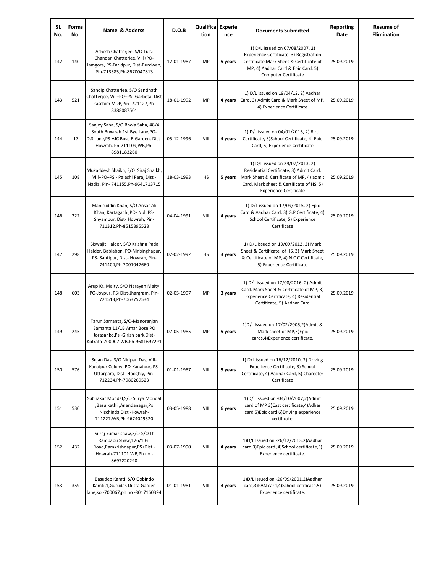| SL<br>No. | Forms<br>No. | Name & Adderss                                                                                                                                            | D.O.B      | Qualifica Experie<br>tion | nce     | <b>Documents Submitted</b>                                                                                                                                                                          | Reporting<br>Date | <b>Resume of</b><br><b>Elimination</b> |
|-----------|--------------|-----------------------------------------------------------------------------------------------------------------------------------------------------------|------------|---------------------------|---------|-----------------------------------------------------------------------------------------------------------------------------------------------------------------------------------------------------|-------------------|----------------------------------------|
| 142       | 140          | Ashesh Chatterjee, S/O Tulsi<br>Chandan Chatterjee, Vill+PO-<br>Jamgora, PS-Faridpur, Dist-Burdwan,<br>Pin-713385, Ph-8670047813                          | 12-01-1987 | MP                        | 5 years | 1) D/L issued on 07/08/2007, 2)<br>Experience Certificate, 3) Registration<br>Certificate, Mark Sheet & Certificate of<br>MP, 4) Aadhar Card & Epic Card, 5)<br><b>Computer Certificate</b>         | 25.09.2019        |                                        |
| 143       | 521          | Sandip Chatterjee, S/O Santinath<br>Chatterjee, Vill+PO+PS- Garbeta, Dist-<br>Paschim MDP, Pin- 721127, Ph-<br>8388087501                                 | 18-01-1992 | MP                        | 4 years | 1) D/L issued on 19/04/12, 2) Aadhar<br>Card, 3) Admit Card & Mark Sheet of MP<br>4) Experience Certificate                                                                                         | 25.09.2019        |                                        |
| 144       | 17           | Sanjoy Saha, S/O Bhola Saha, 48/4<br>South Buxarah 1st Bye Lane, PO-<br>D.S.Lane, PS-AJC Bose B.Garden, Dist-<br>Howrah, Pn-711109, WB, Ph-<br>8981183260 | 05-12-1996 | VIII                      | 4 years | 1) D/L issued on 04/01/2016, 2) Birth<br>Certificate, 3) School Certificate, 4) Epic<br>Card, 5) Experience Certificate                                                                             | 25.09.2019        |                                        |
| 145       | 108          | Mukaddesh Shaikh, S/O Siraj Shaikh,<br>Vill+PO+PS - Palashi Para, Dist -<br>Nadia, Pin- 741155, Ph-9641713715                                             | 18-03-1993 | <b>HS</b>                 | 5 years | 1) D/L issued on 29/07/2013, 2)<br>Residential Certificate, 3) Admit Card,<br>Mark Sheet & Certificate of MP, 4) admit<br>Card, Mark sheet & Certificate of HS, 5)<br><b>Experience Certificate</b> | 25.09.2019        |                                        |
| 146       | 222          | Maniruddin Khan, S/O Ansar Ali<br>Khan, Kartagachi, PO- Nul, PS-<br>Shyampur, Dist-Howrah, Pin-<br>711312, Ph-8515895528                                  | 04-04-1991 | VIII                      | 4 years | 1) D/L issued on 17/09/2015, 2) Epic<br>Card & Aadhar Card, 3) G.P Certificate, 4)<br>School Certificate, 5) Experience<br>Certificate                                                              | 25.09.2019        |                                        |
| 147       | 298          | Biswajit Halder, S/O Krishna Pada<br>Halder, Bablabon, PO-Nirisinghapur,<br>PS- Santipur, Dist- Howrah, Pin-<br>741404, Ph-7001047660                     | 02-02-1992 | HS                        | 3 years | 1) D/L issued on 19/09/2012, 2) Mark<br>Sheet & Certificate of HS, 3) Mark Sheet<br>& Certificate of MP, 4) N.C.C Certificate,<br>5) Experience Certificate                                         | 25.09.2019        |                                        |
| 148       | 603          | Arup Kr. Maity, S/O Narayan Maity,<br>PO-Joypur, PS+Dist-Jhargram, Pin-<br>721513, Ph-7063757534                                                          | 02-05-1997 | MP                        | 3 years | 1) D/L issued on 17/08/2016, 2) Admit<br>Card, Mark Sheet & Certificate of MP, 3)<br>Experience Certificate, 4) Residential<br>Certificate, 5) Aadhar Card                                          | 25.09.2019        |                                        |
| 149       | 245          | Tarun Samanta, S/O-Manoranjan<br>Samanta, 11/1B Amar Bose, PO<br>Jorasanko, Ps - Girish park, Dist-<br>Kolkata-700007.WB,Ph-9681697291                    | 07-05-1985 | MP                        | 5 years | 1) D/L Issued on-17/02/2005, 2) Admit &<br>Mark sheet of MP,3)Epic<br>cards,4)Experience certificate.                                                                                               | 25.09.2019        |                                        |
| 150       | 576          | Sujan Das, S/O Niripan Das, Vill-<br>Kanaipur Colony, PO-Kanaipur, PS-<br>Uttarpara, Dist-Hooghly, Pin-<br>712234, Ph-7980269523                          | 01-01-1987 | VIII                      | 5 years | 1) D/L issued on 16/12/2010, 2) Driving<br>Experience Certificate, 3) School<br>Certificate, 4) Aadhar Card, 5) Charecter<br>Certificate                                                            | 25.09.2019        |                                        |
| 151       | 530          | Subhakar Mondal, S/O Surya Mondal<br>,Basu kathi ,Anandanagar,Ps<br>Nischinda, Dist - Howrah-<br>711227.WB,Ph-9674049320                                  | 03-05-1988 | VIII                      | 6 years | 1) D/L Issued on -04/10/2007, 2) Admit<br>card of MP 3)Cast certificate, 4) Adhar<br>card 5) Epic card, 6) Driving experience<br>certificate.                                                       | 25.09.2019        |                                        |
| 152       | 432          | Suraj kumar shaw, S/O-S/O Lt<br>Rambabu Shaw, 126/1 GT<br>Road, Ramkrishnapur, PS+Dist -<br>Howrah-711101 WB, Ph no -<br>8697220290                       | 03-07-1990 | VIII                      | 4 years | 1) D/L Issued on -26/12/2013, 2) Aadhar<br>card,3)Epic card,4)School certificate,5)<br>Experience certificate.                                                                                      | 25.09.2019        |                                        |
| 153       | 359          | Basudeb Kamti, S/O Gobindo<br>Kamti,1,Gurudas Dutta Garden<br>lane, kol-700067, ph no -8017160394                                                         | 01-01-1981 | VIII                      | 3 years | 1) D/L Issued on -26/09/2001, 2) Aadhar<br>card,3)PAN card,4)School cetificate.5)<br>Experience certificate.                                                                                        | 25.09.2019        |                                        |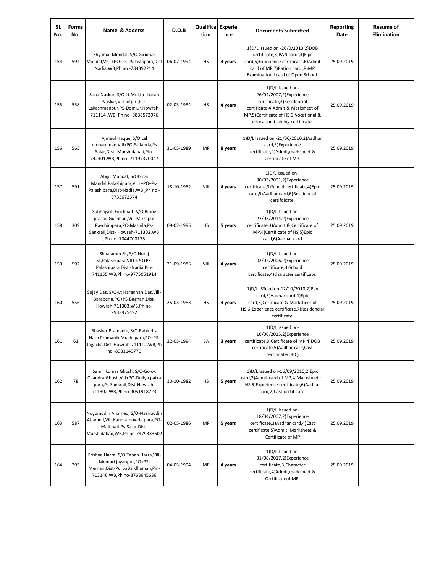| SL<br>No. | Forms<br>No. | Name & Adderss                                                                                                                                            | D.O.B      | Qualifica Experie<br>tion | nce     | <b>Documents Submitted</b>                                                                                                                                                                  | Reporting<br>Date | <b>Resume of</b><br>Elimination |
|-----------|--------------|-----------------------------------------------------------------------------------------------------------------------------------------------------------|------------|---------------------------|---------|---------------------------------------------------------------------------------------------------------------------------------------------------------------------------------------------|-------------------|---------------------------------|
| 154       | 594          | Shyamal Mondal, S/O Giridhar<br>Mondal, VILL+PO+Ps- Palashipara, Dist-<br>Nadia, WB, Ph no -784392214                                                     | 06-07-1994 | HS                        | 3 years | 1) D/L Issued on -26/0/2013, 2) DOB<br>certificate, 3) PAN card, 4) Eipc<br>card,5)Experience certificate,6)Admit<br>card of MP,7) Ration card, 8) MP<br>Examination I card of Open School. | 25.09.2019        |                                 |
| 155       | 558          | Sona Naskar, S/O Lt Mukta charan<br>Naskar, Vill-jotgiri, PO-<br>Lakashmanpur, PS-Domjur, Howrah-<br>711114, WB, Ph no -9836572076                        | 02-03-1984 | HS                        | 4 years | 1)D/L Issued on-<br>26/04/2007,2)Experience<br>certificate,3)Residencial<br>certificate,4)Admit & Marksheet of<br>MP,5)Certificate of HS,6)Vocational &<br>education training certificate.  | 25.09.2019        |                                 |
| 156       | 565          | Ajmaul Haque, S/O Lal<br>mohammad, Vill+PO-Sailanda, Ps<br>Salar, Dist-Murshidabad, Pin-<br>742401, WB, Ph no - 71197370047                               | 31-05-1989 | MP                        | 8 years | 1) D/L Issued on -21/06/2010, 2) Aadhar<br>card,3)Experience<br>certificate,4)Admit,marksheet &<br>Certificate of MP.                                                                       | 25.09.2019        |                                 |
| 157       | 591          | Abijit Mandal, S/Obinai<br>Mandal, Palashipara, VILL+PO+Ps-<br>Palashipara, Dist-Nadia, WB, Ph no -<br>9733672374                                         | 18-10-1982 | VIII                      | 4 years | 1) D/L Issued on -<br>30/03/2001,2)Experience<br>certificate,3)School certificate,4)Epic<br>card,5)Aadhar card,6)Residencial<br>certifdicate.                                               | 25.09.2019        |                                 |
| 158       | 309          | Subhajyoti Guchhait, S/O Binoy<br>prasad Guchhait, Vill-Mirzapur<br>Paschimpara, PO-Mashila, Ps-<br>Sankrail, Dist-Howrah-711302. WB<br>Ph no -7044700175 | 09-02-1995 | HS                        | 5 years | 1)D/L Issued on-<br>27/05/2014,2)Experience<br>certificate,3)Admit & Certificate of<br>MP,4)Certificate of HS,5)Epic<br>card,6)Aadhar card                                                  | 25.09.2019        |                                 |
| 159       | 592          | Shhalamin Sk, S/O Nuraj<br>Sk, Palashipara, VILL+PO+PS-<br>Palashipara, Dist - Nadia, Pin-<br>741155, WB, Ph no-9775051914                                | 21-09-1985 | VIII                      | 4 years | 1) D/L Issued on-<br>02/02/2006,2)Experience<br>certificate,3)School<br>certificate, 4) character certificate.                                                                              | 25.09.2019        |                                 |
| 160       | 556          | Sujay Das, S/O-Lt Haradhan Das, Vill-<br>Baraberia, PO+PS-Bagnan, Dist-<br>Howrah-711303, WB, Ph no-<br>9933975492                                        | 25-03-1983 | HS                        | 3 years | 1)D/L iSSued on-12/10/2010,2)Pan<br>card, 3) Aadhar card, 4) Epic<br>card,5)Certificate & Marksheet of<br>HS,6)Experience certificate,7)Residencial<br>certificate.                         | 25.09.2019        |                                 |
| 161       | 61           | Bhaskar Pramanik, S/O Rabindra<br>Nath Pramanik, Muchi para, PO+PS-<br>Jagacha, Dist-Howrah-711112, WB, Ph<br>no-8981149776                               | 22-05-1994 | BA                        | 3 years | 1)D/L issued on-<br>16/06/2015,2)Experience<br>certificate, 3) Certificate of MP, 4) DOB<br>certificate,5)Aadhar card,Cast<br>certificate(OBC)                                              | 25.09.2019        |                                 |
| 162       | 78           | Samir kumar Ghosh, S/O-Golok<br>Chandra Ghosh, Vill+PO-Duilya patra<br>para, Ps-Sankrail, Dist-Howrah-<br>711302, WB, Ph no-9051918723                    | 10-10-1982 | HS                        | 5 years | 1) D/L Issued on-16/09/2010, 2) Epic<br>card,3)Admit card of MP,4)Marksheet of<br>HS,5) Experience certificate,6) Aadhar<br>card,7)Cast certificate.                                        | 25.09.2019        |                                 |
| 163       | 587          | Noyumddin Ahamed, S/O-Nasiruddin<br>Ahamed, Vill-Kandra nowda para, PO-<br>Mali hati, Ps-Salar, Dist-<br>Murshidabad, WB, Ph no-7479333602                | 02-05-1986 | MP                        | 5 years | 1)D/L Issued on-<br>18/04/2007,2)Experience<br>certificate, 3) Aadhar card, 4) Cast<br>certificate,5)Admit, Marksheet &<br>Certificate of MP                                                | 25.09.2019        |                                 |
| 164       | 293          | Krishna Hazra, S/O Tapan Hazra, Vill-<br>Memari jayanpur, PO+PS-<br>Memari, Dist-PurbaBardhaman, Pin-<br>713146, WB, Ph no-8768645636                     | 04-05-1994 | MP                        | 4 years | 1) D/L Issued on-<br>31/08/2017,2)Experience<br>certificate,3)Character<br>certificate,4)Admit,marksheet &<br>Certificateof MP.                                                             | 25.09.2019        |                                 |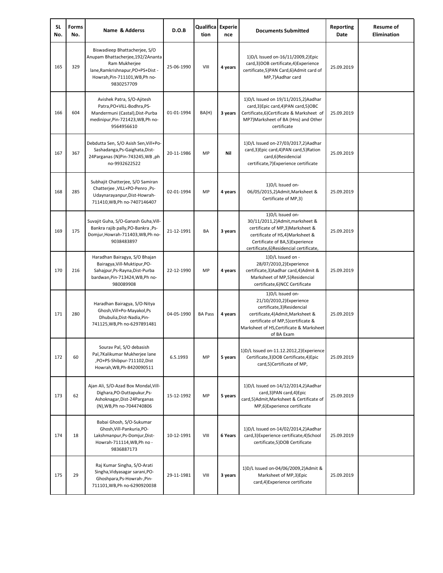| <b>SL</b><br>No. | <b>Forms</b><br>No. | Name & Adderss                                                                                                                                                          | D.O.B      | Qualifica Experie<br>tion | nce     | <b>Documents Submitted</b>                                                                                                                                                                                     | Reporting<br>Date | <b>Resume of</b><br><b>Elimination</b> |
|------------------|---------------------|-------------------------------------------------------------------------------------------------------------------------------------------------------------------------|------------|---------------------------|---------|----------------------------------------------------------------------------------------------------------------------------------------------------------------------------------------------------------------|-------------------|----------------------------------------|
| 165              | 329                 | Biswadieep Bhattacherjee, S/O<br>Anupam Bhattacherjee,192/2Ananta<br>Ram Mukherjee<br>lane, Ramkrishnapur, PO+PS+Dist -<br>Howrah, Pin-711101, WB, Ph no-<br>9830257709 | 25-06-1990 | VIII                      | 4 years | 1)D/L Issued on-16/11/2009,2)Epic<br>card,3)DOB certificate,4)Experience<br>certificate,5)PAN Card,6)Admit card of<br>MP,7)Aadhar card                                                                         | 25.09.2019        |                                        |
| 166              | 604                 | Avishek Patra, S/O-Ajitesh<br>Patra, PO+VILL-Bodhra, PS-<br>Mandermuni (Castal), Dist-Purba<br>medinipur, Pin-721423, WB, Ph no-<br>9564956610                          | 01-01-1994 | BA(H)                     | 3 years | 1) D/L Issued on 19/11/2015, 2) Aadhar<br>card,3)Epic card,4)PAN card,5)OBC<br>Certificate,6)Certificate & Marksheet of<br>MP7) Marksheet of BA (Hns) and Other<br>certificate                                 | 25.09.2019        |                                        |
| 167              | 367                 | Debdutta Sen, S/O Asish Sen, Vill+Po-<br>Sashadanga, Ps-Gaighata, Dist-<br>24Parganas (N)Pin-743245, WB, ph<br>no-9932622522                                            | 20-11-1986 | MP                        | Nil     | 1)D/L Issued on-27/03/2017,2)Aadhar<br>card,3)Epic card,4)PAN card,5)Ration<br>card,6)Residencial<br>certificate, 7) Experience certificate                                                                    | 25.09.2019        |                                        |
| 168              | 285                 | Subhajit Chatterjee, S/O Samiran<br>-Ps- ו-VILL+PO-Penro, Ps-<br>Udaynarayanpur, Dist-Howrah-<br>711410, WB, Ph no-7407146407                                           | 02-01-1994 | MP                        | 4 years | 1) D/L Issued on-<br>06/05/2015,2)Admit, Marksheet &<br>Certificate of MP,3)                                                                                                                                   | 25.09.2019        |                                        |
| 169              | 175                 | Suvajit Guha, S/O-Ganash Guha, Vill-<br>Bankra rajib pally, PO-Bankra, Ps-<br>Domjur, Howrah-711403, WB, Ph no-<br>9038483897                                           | 21-12-1991 | BA                        | 3 years | 1) D/L Issued on-<br>30/11/2011,2)Admit, marksheet &<br>certificate of MP,3) Marksheet &<br>certificate of HS,4)Marksheet &<br>Certificate of BA,5) Experience<br>certificate,6)Residencial certificate,       | 25.09.2019        |                                        |
| 170              | 216                 | Haradhan Bairagya, S/O Bhajan<br>Bairagya, Vill-Muktipur, PO-<br>Sahajpur, Ps-Rayna, Dist-Purba<br>bardwan, Pin-713424, WB, Ph no-<br>980089908                         | 22-12-1990 | MP                        | 4 years | 1) D/L Issued on -<br>28/07/2010,2)Experience<br>certificate, 3) Aadhar card, 4) Admit &<br>Marksheet of MP,5)Residencial<br>certificate,6)NCC Certificate                                                     | 25.09.2019        |                                        |
| 171              | 280                 | Haradhan Bairagya, S/O-Nitya<br>Ghosh, Vill+Po-Mayakol, Ps<br>Dhubulia, Dist-Nadia, Pin-<br>741125, WB, Ph no-6297891481                                                | 04-05-1990 | <b>BA Pass</b>            | 4 years | 1) D/L Issued on-<br>21/10/2010,2)Experience<br>certificate,3)Residencial<br>certificate, 4) Admit, Marksheet &<br>certificate of MP,5)certificate &<br>Marksheet of HS, Certificate & Marksheet<br>of BA Exam | 25.09.2019        |                                        |
| 172              | 60                  | Sourav Pal, S/O debasish<br>Pal, 7Kalikumar Mukherjee lane<br>PO+PS-Shibpur-711102,Dist<br>Howrah, WB, Ph-8420090511                                                    | 6.5.1993   | MP                        | 5 years | 1) D/L Issued on-11.12.2012, 2) Experience<br>Certificate, 3) DOB Certificate, 4) Epic<br>card,5)Certificate of MP,                                                                                            | 25.09.2019        |                                        |
| 173              | 62                  | Ajan Ali, S/O-Azad Box Mondal, Vill-<br>Dighara, PO-Duttapukur, Ps-<br>Ashoknagar, Dist-24 Parganas<br>(N), WB, Ph no-7044740806                                        | 15-12-1992 | MP                        | 5 years | 1) D/L Issued on-14/12/2014, 2) Aadhar<br>card, 3) PAN card, 4) Epic<br>card,5)Admit,Marksheet & Certificate of<br>MP,6)Experience certificate                                                                 | 25.09.2019        |                                        |
| 174              | 18                  | Babai Ghosh, S/O-Sukumar<br>Ghosh, Vill-Pankuria, PO-<br>Lakshmanpur, Ps-Domjur, Dist-<br>Howrah-711114, WB, Ph no -<br>9836887173                                      | 10-12-1991 | VIII                      | 6 Years | 1) D/L Issued on-14/02/2014, 2) Aadhar<br>card,3)Experience certificate,4)School<br>certificate,5)DOB Certificate                                                                                              | 25.09.2019        |                                        |
| 175              | 29                  | Raj Kumar Singha, S/O-Arati<br>Singha, Vidyasagar sarani, PO-<br>Ghoshpara, Ps-Howrah-, Pin-<br>711101, WB, Ph no-6290920038                                            | 29-11-1981 | VIII                      | 3 years | 1) D/L Issued on-04/06/2009, 2) Admit &<br>Marksheet of MP,3)Epic<br>card,4)Experience certificate                                                                                                             | 25.09.2019        |                                        |